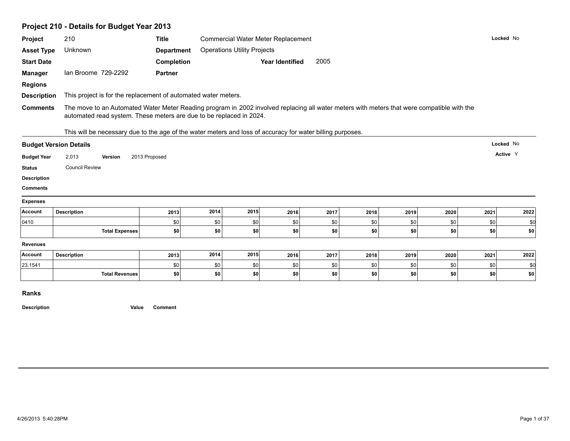|                                       | Project 210 - Details for Budget Year 2013                                                                                                                                                                        |                   |            |                                           |                        |            |            |            |            |            |            |
|---------------------------------------|-------------------------------------------------------------------------------------------------------------------------------------------------------------------------------------------------------------------|-------------------|------------|-------------------------------------------|------------------------|------------|------------|------------|------------|------------|------------|
| Project                               | 210                                                                                                                                                                                                               | <b>Title</b>      |            | <b>Commercial Water Meter Replacement</b> |                        |            |            |            |            | Locked No  |            |
| <b>Asset Type</b>                     | Unknown                                                                                                                                                                                                           | <b>Department</b> |            | <b>Operations Utility Projects</b>        |                        |            |            |            |            |            |            |
| <b>Start Date</b>                     |                                                                                                                                                                                                                   | Completion        |            |                                           | <b>Year Identified</b> | 2005       |            |            |            |            |            |
| <b>Manager</b>                        | Ian Broome 729-2292                                                                                                                                                                                               | <b>Partner</b>    |            |                                           |                        |            |            |            |            |            |            |
| <b>Regions</b>                        |                                                                                                                                                                                                                   |                   |            |                                           |                        |            |            |            |            |            |            |
| <b>Description</b>                    | This project is for the replacement of automated water meters.                                                                                                                                                    |                   |            |                                           |                        |            |            |            |            |            |            |
| <b>Comments</b>                       | The move to an Automated Water Meter Reading program in 2002 involved replacing all water meters with meters that were compatible with the<br>automated read system. These meters are due to be replaced in 2024. |                   |            |                                           |                        |            |            |            |            |            |            |
|                                       | This will be necessary due to the age of the water meters and loss of accuracy for water billing purposes.                                                                                                        |                   |            |                                           |                        |            |            |            |            |            |            |
|                                       | <b>Budget Version Details</b>                                                                                                                                                                                     |                   |            |                                           |                        |            |            |            |            | Locked No  |            |
|                                       |                                                                                                                                                                                                                   |                   |            |                                           |                        |            |            |            |            |            |            |
| <b>Budget Year</b>                    | 2,013<br><b>Version</b>                                                                                                                                                                                           | 2013 Proposed     |            |                                           |                        |            |            |            |            | Active Y   |            |
| <b>Status</b>                         | <b>Council Review</b>                                                                                                                                                                                             |                   |            |                                           |                        |            |            |            |            |            |            |
|                                       |                                                                                                                                                                                                                   |                   |            |                                           |                        |            |            |            |            |            |            |
| <b>Comments</b>                       |                                                                                                                                                                                                                   |                   |            |                                           |                        |            |            |            |            |            |            |
|                                       |                                                                                                                                                                                                                   |                   |            |                                           |                        |            |            |            |            |            |            |
| <b>Description</b><br><b>Expenses</b> | <b>Description</b>                                                                                                                                                                                                | 2013              | 2014       | 2015                                      | 2016                   | 2017       | 2018       | 2019       | 2020       | 2021       | 2022       |
| Account<br>0410                       |                                                                                                                                                                                                                   | \$0               | \$0        | \$0                                       | \$0                    | \$0        | \$0        | \$0        | \$0        | \$0        | \$d        |
|                                       | <b>Total Expenses</b>                                                                                                                                                                                             | \$0               | \$0        | \$0                                       | \$0                    | \$0        | \$0        | \$0        | \$0        | \$0        | \$0        |
| <b>Revenues</b>                       |                                                                                                                                                                                                                   |                   |            |                                           |                        |            |            |            |            |            |            |
| Account                               | <b>Description</b>                                                                                                                                                                                                | 2013              | 2014       | 2015                                      | 2016                   | 2017       | 2018       | 2019       | 2020       | 2021       | 2022       |
| 23.1541                               | <b>Total Revenues</b>                                                                                                                                                                                             | \$0<br>\$0        | \$0<br>\$0 | \$0<br>\$0                                | \$0<br> \$0            | \$0<br>\$0 | \$0<br>\$0 | \$0<br>\$0 | \$0<br>\$0 | \$0<br>\$0 | \$d<br>\$0 |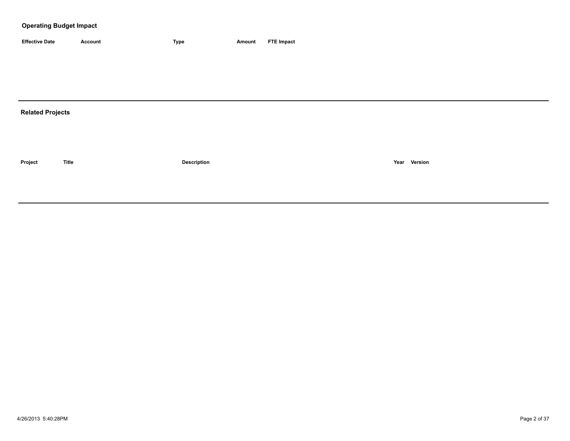| <b>Effective Date</b> | Account | 'vpe | Amount | <b>FTE Impact</b> |
|-----------------------|---------|------|--------|-------------------|

# **Related Projects**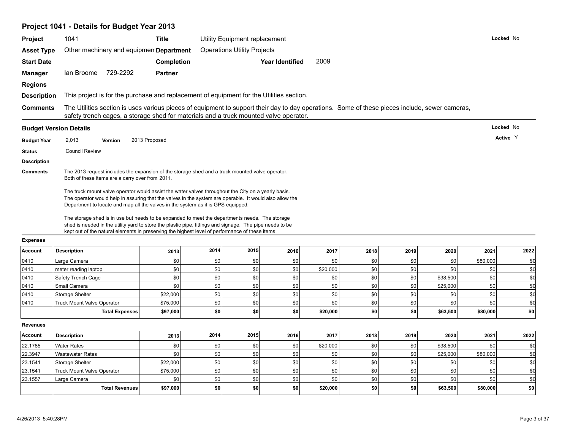| Project                       | 1041                                                                                                                                                                                                                                                                                                                                                                                              | <b>Title</b>   |            | Utility Equipment replacement      |                        |                 |            |            |            | Locked No       |                     |
|-------------------------------|---------------------------------------------------------------------------------------------------------------------------------------------------------------------------------------------------------------------------------------------------------------------------------------------------------------------------------------------------------------------------------------------------|----------------|------------|------------------------------------|------------------------|-----------------|------------|------------|------------|-----------------|---------------------|
| <b>Asset Type</b>             | Other machinery and equipmen <b>Department</b>                                                                                                                                                                                                                                                                                                                                                    |                |            | <b>Operations Utility Projects</b> |                        |                 |            |            |            |                 |                     |
| <b>Start Date</b>             |                                                                                                                                                                                                                                                                                                                                                                                                   | Completion     |            |                                    | <b>Year Identified</b> | 2009            |            |            |            |                 |                     |
| <b>Manager</b>                | lan Broome 729-2292                                                                                                                                                                                                                                                                                                                                                                               | <b>Partner</b> |            |                                    |                        |                 |            |            |            |                 |                     |
| <b>Regions</b>                |                                                                                                                                                                                                                                                                                                                                                                                                   |                |            |                                    |                        |                 |            |            |            |                 |                     |
|                               |                                                                                                                                                                                                                                                                                                                                                                                                   |                |            |                                    |                        |                 |            |            |            |                 |                     |
| <b>Description</b>            | This project is for the purchase and replacement of equipment for the Utilities section.                                                                                                                                                                                                                                                                                                          |                |            |                                    |                        |                 |            |            |            |                 |                     |
| <b>Comments</b>               | The Utilities section is uses various pieces of equipment to support their day to day operations. Some of these pieces include, sewer cameras,<br>safety trench cages, a storage shed for materials and a truck mounted valve operator.                                                                                                                                                           |                |            |                                    |                        |                 |            |            |            |                 |                     |
| <b>Budget Version Details</b> |                                                                                                                                                                                                                                                                                                                                                                                                   |                |            |                                    |                        |                 |            |            |            | Locked No       |                     |
| <b>Budget Year</b>            | 2,013<br>Version                                                                                                                                                                                                                                                                                                                                                                                  | 2013 Proposed  |            |                                    |                        |                 |            |            |            | Active Y        |                     |
| <b>Status</b>                 | <b>Council Review</b>                                                                                                                                                                                                                                                                                                                                                                             |                |            |                                    |                        |                 |            |            |            |                 |                     |
| <b>Description</b>            |                                                                                                                                                                                                                                                                                                                                                                                                   |                |            |                                    |                        |                 |            |            |            |                 |                     |
| <b>Comments</b>               | The 2013 request includes the expansion of the storage shed and a truck mounted valve operator.<br>Both of these items are a carry over from 2011.                                                                                                                                                                                                                                                |                |            |                                    |                        |                 |            |            |            |                 |                     |
|                               | The truck mount valve operator would assist the water valves throughout the City on a yearly basis.<br>The operator would help in assuring that the valves in the system are operable. It would also allow the                                                                                                                                                                                    |                |            |                                    |                        |                 |            |            |            |                 |                     |
|                               | Department to locate and map all the valves in the system as it is GPS equipped.<br>The storage shed is in use but needs to be expanded to meet the departments needs. The storage<br>shed is needed in the utility yard to store the plastic pipe, fittings and signage. The pipe needs to be<br>kept out of the natural elements in preserving the highest level of performance of these items. |                |            |                                    |                        |                 |            |            |            |                 |                     |
| <b>Expenses</b>               |                                                                                                                                                                                                                                                                                                                                                                                                   |                |            |                                    |                        |                 |            |            |            |                 |                     |
| Account                       | <b>Description</b>                                                                                                                                                                                                                                                                                                                                                                                | 2013           | 2014       | 2015                               | 2016                   | 2017            | 2018       | 2019       | 2020       | 2021            | 2022                |
| 0410<br>0410                  | Large Camera<br>meter reading laptop                                                                                                                                                                                                                                                                                                                                                              | \$0<br>\$0     | \$0<br>\$0 | \$0<br>\$0                         | \$0<br>\$0             | \$0<br>\$20,000 | \$0<br>\$0 | \$0<br>\$0 | \$0<br>\$0 | \$80,000<br>\$0 | \$0<br>\$d          |
| 0410                          | Safety Trench Cage                                                                                                                                                                                                                                                                                                                                                                                | \$0            | \$0        | \$0                                | \$0                    | \$0             | \$0        | \$0        | \$38,500   | \$0             | \$d                 |
| 0410                          | Small Camera                                                                                                                                                                                                                                                                                                                                                                                      | \$0            | \$0        | \$0                                | 30                     | \$0             | \$0        | \$0        | \$25,000   | \$0             |                     |
| 0410                          | Storage Shelter                                                                                                                                                                                                                                                                                                                                                                                   | \$22,000       | \$0        | \$0                                | \$0                    | \$0             | \$0        | \$0        | \$0        | \$0             | \$d<br>\$d          |
| 0410                          | Truck Mount Valve Operator                                                                                                                                                                                                                                                                                                                                                                        | \$75,000       | \$0        | \$0                                | \$0                    | \$0             | \$0        | \$0        | \$0        | \$0             | \$d                 |
|                               | <b>Total Expenses</b>                                                                                                                                                                                                                                                                                                                                                                             | \$97,000       | \$0        | \$0                                | \$0                    | \$20,000        | \$0        | \$0        | \$63,500   | \$80,000        |                     |
| <b>Revenues</b>               |                                                                                                                                                                                                                                                                                                                                                                                                   |                |            |                                    |                        |                 |            |            |            |                 |                     |
| <b>Account</b>                | <b>Description</b>                                                                                                                                                                                                                                                                                                                                                                                | 2013           | 2014       | 2015                               | 2016                   | 2017            | 2018       | 2019       | 2020       | 2021            |                     |
| 22.1785                       | <b>Water Rates</b>                                                                                                                                                                                                                                                                                                                                                                                | \$0            | \$0        | \$0                                | \$0                    | \$20,000        | \$0        | \$0        | \$38,500   | \$0             | \$0 <br>2022<br>\$0 |
| 22.3947                       | <b>Wastewater Rates</b>                                                                                                                                                                                                                                                                                                                                                                           | \$0            | \$0        | \$0                                | \$0                    | \$0             | \$0        | \$0        | \$25,000   | \$80,000        | \$d                 |
| 23.1541                       | Storage Shelter                                                                                                                                                                                                                                                                                                                                                                                   | \$22,000       | \$0        | $$0$$                              | \$0                    | \$0             | \$0        | \$0        | \$0        | \$0             | \$d                 |
| 23.1541                       | Truck Mount Valve Operator                                                                                                                                                                                                                                                                                                                                                                        | \$75,000       | \$0        | \$0                                | \$0                    | \$0             | \$0        | \$0        | \$0        | \$0             |                     |
| 23.1557                       | Large Camera                                                                                                                                                                                                                                                                                                                                                                                      | \$0            | $\$0$      | $$0$$                              | \$0                    | \$0             | \$0        | \$0        | \$0        | \$0             | \$d<br>\$d          |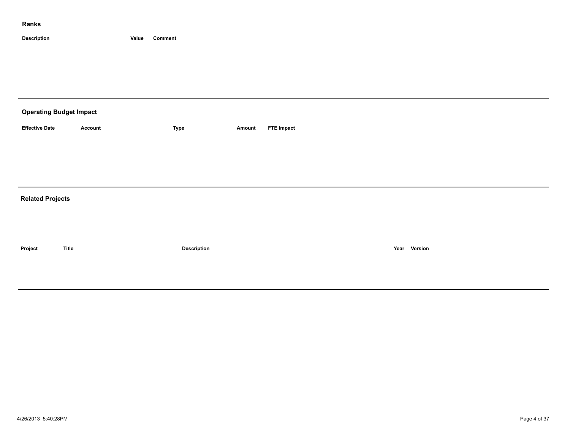| <b>Operating Budget Impact</b> |                |             |        |                   |
|--------------------------------|----------------|-------------|--------|-------------------|
| <b>Effective Date</b>          | <b>Account</b> | Type        | Amount | <b>FTE Impact</b> |
|                                |                |             |        |                   |
|                                |                |             |        |                   |
|                                |                |             |        |                   |
| <b>Related Projects</b>        |                |             |        |                   |
|                                |                |             |        |                   |
|                                |                |             |        |                   |
| Project                        | <b>Title</b>   | Description |        | Year Version      |
|                                |                |             |        |                   |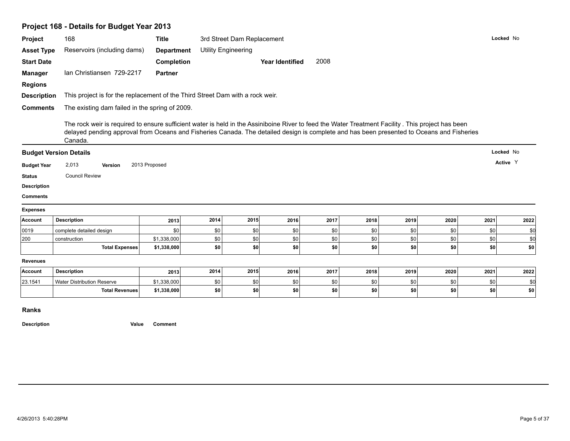# **Project 168 - Details for Budget Year 2013**

| <b>Project</b>                                               | 168                                                                                                                                                                                                                                                                                                       | <b>Title</b>      |      | 3rd Street Dam Replacement |                        |      |      |      |      |      | Locked No |
|--------------------------------------------------------------|-----------------------------------------------------------------------------------------------------------------------------------------------------------------------------------------------------------------------------------------------------------------------------------------------------------|-------------------|------|----------------------------|------------------------|------|------|------|------|------|-----------|
| <b>Asset Type</b>                                            | Reservoirs (including dams)                                                                                                                                                                                                                                                                               | <b>Department</b> |      | <b>Utility Engineering</b> |                        |      |      |      |      |      |           |
| <b>Start Date</b>                                            |                                                                                                                                                                                                                                                                                                           | <b>Completion</b> |      |                            | <b>Year Identified</b> | 2008 |      |      |      |      |           |
| <b>Manager</b>                                               | Ian Christiansen 729-2217                                                                                                                                                                                                                                                                                 | <b>Partner</b>    |      |                            |                        |      |      |      |      |      |           |
| <b>Regions</b>                                               |                                                                                                                                                                                                                                                                                                           |                   |      |                            |                        |      |      |      |      |      |           |
| <b>Description</b>                                           | This project is for the replacement of the Third Street Dam with a rock weir.                                                                                                                                                                                                                             |                   |      |                            |                        |      |      |      |      |      |           |
| <b>Comments</b>                                              | The existing dam failed in the spring of 2009.                                                                                                                                                                                                                                                            |                   |      |                            |                        |      |      |      |      |      |           |
|                                                              |                                                                                                                                                                                                                                                                                                           |                   |      |                            |                        |      |      |      |      |      |           |
|                                                              | The rock weir is required to ensure sufficient water is held in the Assiniboine River to feed the Water Treatment Facility. This project has been<br>delayed pending approval from Oceans and Fisheries Canada. The detailed design is complete and has been presented to Oceans and Fisheries<br>Canada. |                   |      |                            |                        |      |      |      |      |      |           |
|                                                              | <b>Budget Version Details</b>                                                                                                                                                                                                                                                                             |                   |      |                            |                        |      |      |      |      |      | Locked No |
| <b>Budget Year</b>                                           | 2,013<br>Version                                                                                                                                                                                                                                                                                          | 2013 Proposed     |      |                            |                        |      |      |      |      |      | Active Y  |
| <b>Status</b>                                                | <b>Council Review</b>                                                                                                                                                                                                                                                                                     |                   |      |                            |                        |      |      |      |      |      |           |
| <b>Description</b>                                           |                                                                                                                                                                                                                                                                                                           |                   |      |                            |                        |      |      |      |      |      |           |
|                                                              |                                                                                                                                                                                                                                                                                                           |                   |      |                            |                        |      |      |      |      |      |           |
|                                                              |                                                                                                                                                                                                                                                                                                           |                   |      |                            |                        |      |      |      |      |      |           |
|                                                              |                                                                                                                                                                                                                                                                                                           |                   |      |                            |                        |      |      |      |      |      |           |
|                                                              | <b>Description</b>                                                                                                                                                                                                                                                                                        | 2013              | 2014 | 2015                       | 2016                   | 2017 | 2018 | 2019 | 2020 | 2021 | 2022      |
|                                                              | complete detailed design                                                                                                                                                                                                                                                                                  | \$0               | \$0  | <b>\$0</b>                 | \$0                    | \$0  | \$0  | \$0  | \$0  | \$0  | \$0       |
|                                                              | construction                                                                                                                                                                                                                                                                                              | \$1,338,000       | \$0  | \$0                        | \$0                    | \$0  | \$0  | \$0  | \$0  | \$0  | \$d       |
| <b>Comments</b><br><b>Expenses</b><br>Account<br>0019<br>200 | <b>Total Expenses</b>                                                                                                                                                                                                                                                                                     | \$1,338,000       | \$0  | \$0                        | \$0                    | \$0  | \$0  | \$0  | \$0  | \$0  | \$0       |
|                                                              |                                                                                                                                                                                                                                                                                                           |                   |      |                            |                        |      |      |      |      |      |           |
|                                                              | <b>Description</b>                                                                                                                                                                                                                                                                                        | 2013              | 2014 | 2015                       | 2016                   | 2017 | 2018 | 2019 | 2020 | 2021 | 2022      |
| <b>Revenues</b><br>Account<br>23.1541                        | <b>Water Distribution Reserve</b>                                                                                                                                                                                                                                                                         | \$1,338,000       | \$0  | \$0                        | \$0                    | \$0  | \$0  | \$0  | \$0  | \$0  | \$0       |

**Ranks**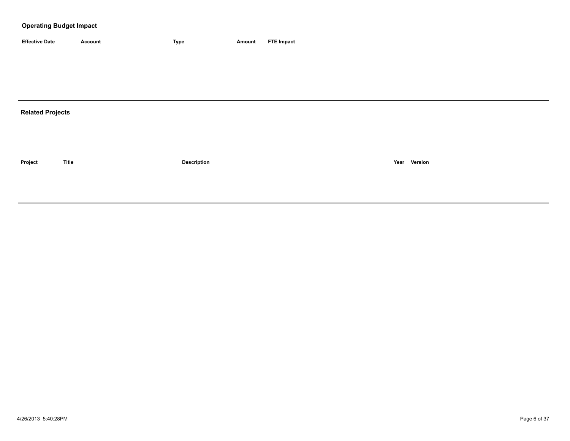| <b>Effective Date</b> | Account | <b>Type</b> | Amount | <b>FTE Impact</b> |
|-----------------------|---------|-------------|--------|-------------------|

# **Related Projects**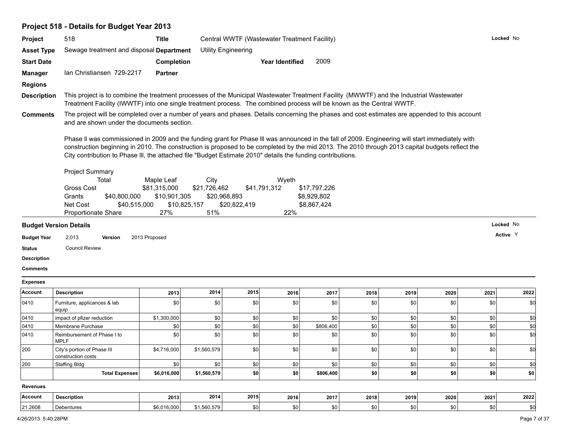# **Project 518 - Details for Budget Year 2013**

| <b>Project</b>     | 518                                                                                                                                                                                                                                                                                                                                                                                                                | <b>Title</b>                                                      |                             |                              | Central WWTF (Wastewater Treatment Facility) |                                            |      |      |      |      | Locked No |
|--------------------|--------------------------------------------------------------------------------------------------------------------------------------------------------------------------------------------------------------------------------------------------------------------------------------------------------------------------------------------------------------------------------------------------------------------|-------------------------------------------------------------------|-----------------------------|------------------------------|----------------------------------------------|--------------------------------------------|------|------|------|------|-----------|
| <b>Asset Type</b>  | Sewage treatment and disposal Department                                                                                                                                                                                                                                                                                                                                                                           |                                                                   |                             | <b>Utility Engineering</b>   |                                              |                                            |      |      |      |      |           |
| <b>Start Date</b>  |                                                                                                                                                                                                                                                                                                                                                                                                                    | Completion                                                        |                             |                              | <b>Year Identified</b>                       | 2009                                       |      |      |      |      |           |
| <b>Manager</b>     | Ian Christiansen 729-2217                                                                                                                                                                                                                                                                                                                                                                                          | <b>Partner</b>                                                    |                             |                              |                                              |                                            |      |      |      |      |           |
| <b>Regions</b>     |                                                                                                                                                                                                                                                                                                                                                                                                                    |                                                                   |                             |                              |                                              |                                            |      |      |      |      |           |
| <b>Description</b> | This project is to combine the treatment processes of the Municipal Wastewater Treatment Facility (MWWTF) and the Industrial Wastewater<br>Treatment Facility (IWWTF) into one single treatment process. The combined process will be known as the Central WWTF.                                                                                                                                                   |                                                                   |                             |                              |                                              |                                            |      |      |      |      |           |
| <b>Comments</b>    | The project will be completed over a number of years and phases. Details concerning the phases and cost estimates are appended to this account<br>and are shown under the documents section.                                                                                                                                                                                                                       |                                                                   |                             |                              |                                              |                                            |      |      |      |      |           |
|                    | Phase II was commissioned in 2009 and the funding grant for Phase III was announced in the fall of 2009. Engineering will start immediately with<br>construction beginning in 2010. The construction is proposed to be completed by the mid 2013. The 2010 through 2013 capital budgets reflect the<br>City contribution to Phase III, the attached file "Budget Estimate 2010" details the funding contributions. |                                                                   |                             |                              |                                              |                                            |      |      |      |      |           |
|                    | <b>Project Summary</b><br>Total<br><b>Gross Cost</b><br>Grants<br>\$40,800,000<br>Net Cost<br>\$40,515,000<br>Proportionate Share                                                                                                                                                                                                                                                                                  | Maple Leaf<br>\$81,315,000<br>\$10,901,305<br>\$10,825,157<br>27% | City<br>\$21,726,462<br>51% | \$20,968,893<br>\$20,822,419 | Wyeth<br>\$41,791,312<br>22%                 | \$17,797,226<br>\$8,929,802<br>\$8,867,424 |      |      |      |      |           |
|                    | <b>Budget Version Details</b>                                                                                                                                                                                                                                                                                                                                                                                      |                                                                   |                             |                              |                                              |                                            |      |      |      |      | Locked No |
| <b>Budget Year</b> | 2,013<br>Version                                                                                                                                                                                                                                                                                                                                                                                                   | 2013 Proposed                                                     |                             |                              |                                              |                                            |      |      |      |      | Active Y  |
| <b>Status</b>      | <b>Council Review</b>                                                                                                                                                                                                                                                                                                                                                                                              |                                                                   |                             |                              |                                              |                                            |      |      |      |      |           |
| <b>Description</b> |                                                                                                                                                                                                                                                                                                                                                                                                                    |                                                                   |                             |                              |                                              |                                            |      |      |      |      |           |
| <b>Comments</b>    |                                                                                                                                                                                                                                                                                                                                                                                                                    |                                                                   |                             |                              |                                              |                                            |      |      |      |      |           |
| <b>Expenses</b>    |                                                                                                                                                                                                                                                                                                                                                                                                                    |                                                                   |                             |                              |                                              |                                            |      |      |      |      |           |
| Account            | <b>Description</b>                                                                                                                                                                                                                                                                                                                                                                                                 | 2013                                                              | 2014                        | 2015                         | 2016                                         | 2017                                       | 2018 | 2019 | 2020 | 2021 | 2022      |
| 0410               | Furniture, applicances & lab<br>equip                                                                                                                                                                                                                                                                                                                                                                              | \$0                                                               | \$0                         | \$0                          | \$0                                          | \$0                                        | \$0  | \$0  | \$0  | \$0  | \$d       |
| 0410               | impact of pfizer reduction                                                                                                                                                                                                                                                                                                                                                                                         | \$1,300,000                                                       | \$0                         | \$0                          | \$0                                          | \$0                                        | \$0  | \$0  | \$0  | \$0  | \$d       |
| 0410               | Membrane Purchase                                                                                                                                                                                                                                                                                                                                                                                                  | \$0                                                               | \$0                         | \$0                          | \$0                                          | \$806,400                                  | \$0  | \$0  | \$0  | \$0  | \$d       |
| 0410               | Reimbursement of Phase I to<br><b>MPLF</b>                                                                                                                                                                                                                                                                                                                                                                         | \$0                                                               | \$0                         | 30                           | \$0                                          | \$0                                        | \$0  | \$0  | \$0  | \$0  | \$d       |
| 200                | City's portion of Phase III<br>construction costs                                                                                                                                                                                                                                                                                                                                                                  | \$4,716,000                                                       | \$1,560,579                 | 30                           | \$0                                          | \$0                                        | \$0  | \$0  | \$0  | \$0  | \$d       |
| 200                | <b>Staffing Bldg</b>                                                                                                                                                                                                                                                                                                                                                                                               | \$0                                                               | \$0                         | \$0                          | \$0                                          | \$0                                        | \$0  | \$0  | \$0  | \$0  | \$0       |
|                    | <b>Total Expenses</b>                                                                                                                                                                                                                                                                                                                                                                                              | \$6,016,000                                                       | \$1,560,579                 | \$0                          | \$0                                          | \$806,400                                  | \$0  | \$0  | \$0  | \$0  | \$0       |
| <b>Revenues</b>    |                                                                                                                                                                                                                                                                                                                                                                                                                    |                                                                   |                             |                              |                                              |                                            |      |      |      |      |           |
| Account            | <b>Description</b>                                                                                                                                                                                                                                                                                                                                                                                                 | 2013                                                              | 2014                        | 2015                         | 2016                                         | 2017                                       | 2018 | 2019 | 2020 | 2021 | 2022      |
|                    |                                                                                                                                                                                                                                                                                                                                                                                                                    |                                                                   |                             |                              |                                              |                                            |      |      |      |      |           |

21.2608 | Debentures \$6,016,000 | \$1,560,579 | \$0 | \$0 | \$0 | \$0 | \$0 | \$0 | \$0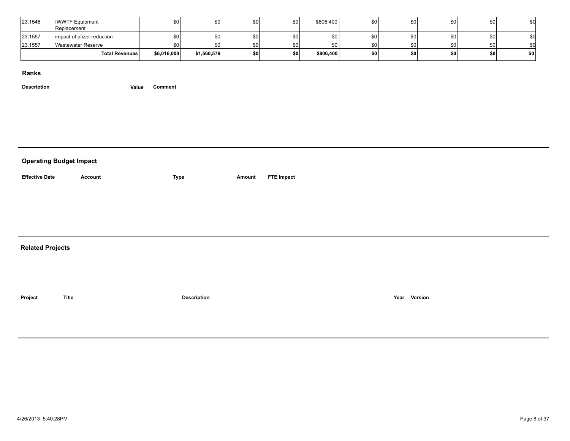| 23.1546 | <b>IWWTF Equipment</b><br>Replacement | \$0         | \$0         | \$0 | \$0              | \$806,400 | \$0 | \$0              | \$0       |    |     |  |
|---------|---------------------------------------|-------------|-------------|-----|------------------|-----------|-----|------------------|-----------|----|-----|--|
| 23.1557 | impact of pfizer reduction            |             | \$0         | ®∩  | \$0              |           |     | \$0 <sub>1</sub> | SO I      |    |     |  |
| 23.1557 | Wastewater Reserve                    | \$0         | \$0         | \$0 | \$0 <sub>1</sub> |           |     | \$0 <sub>1</sub> | SO I      |    |     |  |
|         | <b>Total Revenues</b>                 | \$6,016,000 | \$1,560,579 | \$0 | \$0              | \$806,400 | \$0 | \$0              | <b>SO</b> | ¢. | \$0 |  |

| <b>Operating Budget Impact</b> |                |                    |        |                   |
|--------------------------------|----------------|--------------------|--------|-------------------|
| <b>Effective Date</b>          | <b>Account</b> | Type               | Amount | <b>FTE Impact</b> |
|                                |                |                    |        |                   |
|                                |                |                    |        |                   |
| <b>Related Projects</b>        |                |                    |        |                   |
| Project                        | Title          | <b>Description</b> |        | Year Version      |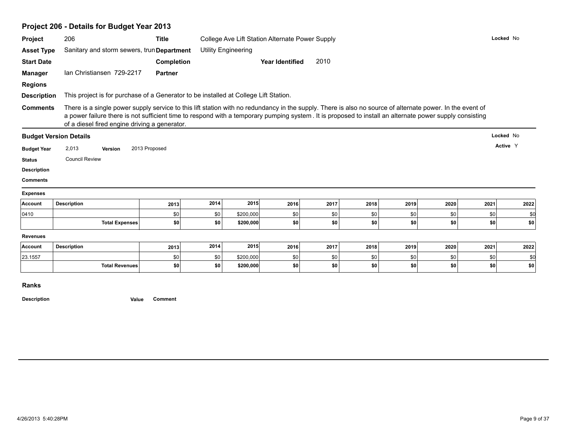|                                                                                                                                       | Project 206 - Details for Budget Year 2013                                                                                                                                                                                                                                                                                                                            |                   |            |                            |                                                 |            |            |            |            |             |            |
|---------------------------------------------------------------------------------------------------------------------------------------|-----------------------------------------------------------------------------------------------------------------------------------------------------------------------------------------------------------------------------------------------------------------------------------------------------------------------------------------------------------------------|-------------------|------------|----------------------------|-------------------------------------------------|------------|------------|------------|------------|-------------|------------|
| Project                                                                                                                               | 206                                                                                                                                                                                                                                                                                                                                                                   | <b>Title</b>      |            |                            | College Ave Lift Station Alternate Power Supply |            |            |            |            |             | Locked No  |
| <b>Asset Type</b>                                                                                                                     | Sanitary and storm sewers, trun Department                                                                                                                                                                                                                                                                                                                            |                   |            | <b>Utility Engineering</b> |                                                 |            |            |            |            |             |            |
| <b>Start Date</b>                                                                                                                     |                                                                                                                                                                                                                                                                                                                                                                       | <b>Completion</b> |            |                            | <b>Year Identified</b>                          | 2010       |            |            |            |             |            |
| <b>Manager</b>                                                                                                                        | Ian Christiansen 729-2217                                                                                                                                                                                                                                                                                                                                             | <b>Partner</b>    |            |                            |                                                 |            |            |            |            |             |            |
| <b>Regions</b>                                                                                                                        |                                                                                                                                                                                                                                                                                                                                                                       |                   |            |                            |                                                 |            |            |            |            |             |            |
| <b>Description</b>                                                                                                                    | This project is for purchase of a Generator to be installed at College Lift Station.                                                                                                                                                                                                                                                                                  |                   |            |                            |                                                 |            |            |            |            |             |            |
| <b>Comments</b>                                                                                                                       | There is a single power supply service to this lift station with no redundancy in the supply. There is also no source of alternate power. In the event of<br>a power failure there is not sufficient time to respond with a temporary pumping system. It is proposed to install an alternate power supply consisting<br>of a diesel fired engine driving a generator. |                   |            |                            |                                                 |            |            |            |            |             |            |
| <b>Budget Version Details</b>                                                                                                         |                                                                                                                                                                                                                                                                                                                                                                       |                   |            |                            |                                                 |            |            |            |            |             | Locked No  |
| <b>Budget Year</b>                                                                                                                    | 2,013<br>Version                                                                                                                                                                                                                                                                                                                                                      | 2013 Proposed     |            |                            |                                                 |            |            |            |            |             | Active Y   |
|                                                                                                                                       |                                                                                                                                                                                                                                                                                                                                                                       |                   |            |                            |                                                 |            |            |            |            |             |            |
|                                                                                                                                       | <b>Council Review</b>                                                                                                                                                                                                                                                                                                                                                 |                   |            |                            |                                                 |            |            |            |            |             |            |
|                                                                                                                                       |                                                                                                                                                                                                                                                                                                                                                                       |                   |            |                            |                                                 |            |            |            |            |             |            |
|                                                                                                                                       |                                                                                                                                                                                                                                                                                                                                                                       |                   |            |                            |                                                 |            |            |            |            |             |            |
|                                                                                                                                       |                                                                                                                                                                                                                                                                                                                                                                       |                   |            |                            |                                                 |            |            |            |            |             |            |
|                                                                                                                                       | <b>Description</b>                                                                                                                                                                                                                                                                                                                                                    | 2013              | 2014       | 2015                       | 2016                                            | 2017       | 2018       | 2019       | 2020       | 2021        | 2022       |
|                                                                                                                                       |                                                                                                                                                                                                                                                                                                                                                                       | \$0               | \$0        | \$200,000                  | \$0                                             | \$0        | \$0        | \$0        | \$0        | \$0         | \$0        |
|                                                                                                                                       | <b>Total Expenses</b>                                                                                                                                                                                                                                                                                                                                                 | \$0               | \$0        | \$200,000                  | \$0                                             | \$0        | \$0        | \$0        | \$0        | \$0         | \$0        |
|                                                                                                                                       |                                                                                                                                                                                                                                                                                                                                                                       |                   |            |                            |                                                 |            |            |            |            |             |            |
|                                                                                                                                       | <b>Description</b>                                                                                                                                                                                                                                                                                                                                                    | 2013              | 2014       | 2015                       | 2016                                            | 2017       | 2018       | 2019       | 2020       | 2021        | 2022       |
| <b>Status</b><br><b>Description</b><br><b>Comments</b><br><b>Expenses</b><br>Account<br>0410<br><b>Revenues</b><br>Account<br>23.1557 | <b>Total Revenues</b>                                                                                                                                                                                                                                                                                                                                                 | \$0<br>\$0        | \$0<br>\$0 | \$200,000<br>\$200,000     | \$0<br>\$0                                      | \$0<br>\$0 | \$0<br>\$0 | \$0<br>\$0 | \$0<br>\$0 | \$0<br> \$0 | \$0<br>\$0 |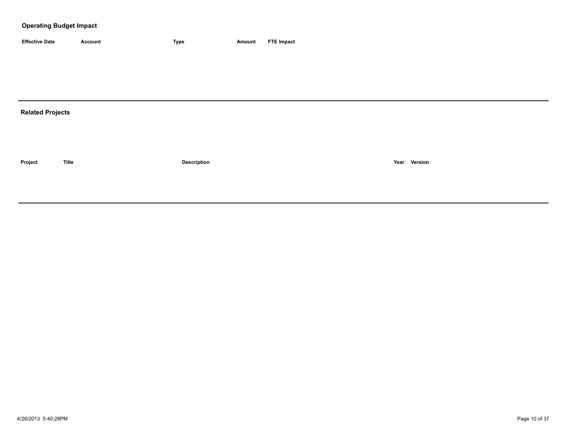| <b>Effective Date</b> | Account | <b>Type</b> | Amount | <b>FTE Impact</b> |
|-----------------------|---------|-------------|--------|-------------------|

# **Related Projects**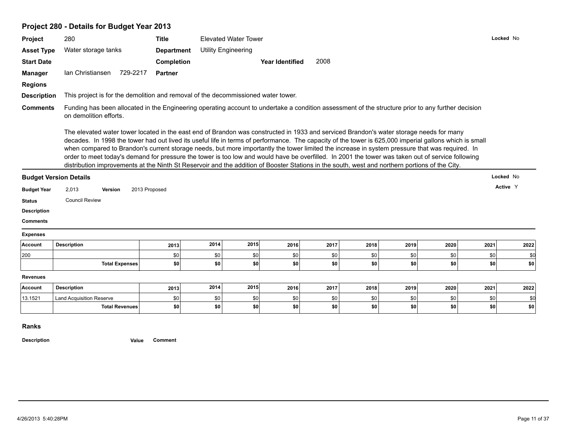# **Project 280 - Details for Budget Year 2013**

| Project                               | 280                                                                                                                                                                                                                                                                                                                                                                                                                                                                                                                                                                                                                                                                                                                                                        | <b>Title</b>      |      | <b>Elevated Water Tower</b> |                        |      |      |      |      | Locked No |           |
|---------------------------------------|------------------------------------------------------------------------------------------------------------------------------------------------------------------------------------------------------------------------------------------------------------------------------------------------------------------------------------------------------------------------------------------------------------------------------------------------------------------------------------------------------------------------------------------------------------------------------------------------------------------------------------------------------------------------------------------------------------------------------------------------------------|-------------------|------|-----------------------------|------------------------|------|------|------|------|-----------|-----------|
| <b>Asset Type</b>                     | Water storage tanks                                                                                                                                                                                                                                                                                                                                                                                                                                                                                                                                                                                                                                                                                                                                        | <b>Department</b> |      | <b>Utility Engineering</b>  |                        |      |      |      |      |           |           |
| <b>Start Date</b>                     |                                                                                                                                                                                                                                                                                                                                                                                                                                                                                                                                                                                                                                                                                                                                                            | Completion        |      |                             | <b>Year Identified</b> | 2008 |      |      |      |           |           |
| <b>Manager</b>                        | Ian Christiansen<br>729-2217                                                                                                                                                                                                                                                                                                                                                                                                                                                                                                                                                                                                                                                                                                                               | <b>Partner</b>    |      |                             |                        |      |      |      |      |           |           |
| <b>Regions</b>                        |                                                                                                                                                                                                                                                                                                                                                                                                                                                                                                                                                                                                                                                                                                                                                            |                   |      |                             |                        |      |      |      |      |           |           |
| <b>Description</b>                    | This project is for the demolition and removal of the decommissioned water tower.                                                                                                                                                                                                                                                                                                                                                                                                                                                                                                                                                                                                                                                                          |                   |      |                             |                        |      |      |      |      |           |           |
| <b>Comments</b>                       | Funding has been allocated in the Engineering operating account to undertake a condition assessment of the structure prior to any further decision<br>on demolition efforts.                                                                                                                                                                                                                                                                                                                                                                                                                                                                                                                                                                               |                   |      |                             |                        |      |      |      |      |           |           |
|                                       | The elevated water tower located in the east end of Brandon was constructed in 1933 and serviced Brandon's water storage needs for many<br>decades. In 1998 the tower had out lived its useful life in terms of performance. The capacity of the tower is 625,000 imperial gallons which is small<br>when compared to Brandon's current storage needs, but more importantly the tower limited the increase in system pressure that was required. In<br>order to meet today's demand for pressure the tower is too low and would have be overfilled. In 2001 the tower was taken out of service following<br>distribution improvements at the Ninth St Reservoir and the addition of Booster Stations in the south, west and northern portions of the City. |                   |      |                             |                        |      |      |      |      |           |           |
|                                       |                                                                                                                                                                                                                                                                                                                                                                                                                                                                                                                                                                                                                                                                                                                                                            |                   |      |                             |                        |      |      |      |      |           |           |
|                                       | <b>Budget Version Details</b>                                                                                                                                                                                                                                                                                                                                                                                                                                                                                                                                                                                                                                                                                                                              |                   |      |                             |                        |      |      |      |      |           | Locked No |
| <b>Budget Year</b>                    | 2,013<br><b>Version</b>                                                                                                                                                                                                                                                                                                                                                                                                                                                                                                                                                                                                                                                                                                                                    | 2013 Proposed     |      |                             |                        |      |      |      |      |           | Active Y  |
| <b>Status</b>                         | <b>Council Review</b>                                                                                                                                                                                                                                                                                                                                                                                                                                                                                                                                                                                                                                                                                                                                      |                   |      |                             |                        |      |      |      |      |           |           |
|                                       |                                                                                                                                                                                                                                                                                                                                                                                                                                                                                                                                                                                                                                                                                                                                                            |                   |      |                             |                        |      |      |      |      |           |           |
| <b>Comments</b>                       |                                                                                                                                                                                                                                                                                                                                                                                                                                                                                                                                                                                                                                                                                                                                                            |                   |      |                             |                        |      |      |      |      |           |           |
| <b>Description</b><br><b>Expenses</b> |                                                                                                                                                                                                                                                                                                                                                                                                                                                                                                                                                                                                                                                                                                                                                            |                   |      |                             |                        |      |      |      |      |           |           |
|                                       | <b>Description</b>                                                                                                                                                                                                                                                                                                                                                                                                                                                                                                                                                                                                                                                                                                                                         | 2013              | 2014 | 2015                        | 2016                   | 2017 | 2018 | 2019 | 2020 | 2021      | 2022      |
| Account<br>200                        |                                                                                                                                                                                                                                                                                                                                                                                                                                                                                                                                                                                                                                                                                                                                                            | \$0               | \$0  | \$0                         | \$0                    | \$0  | \$0  | \$0  | \$0  | \$0       | \$0       |
|                                       | <b>Total Expenses</b>                                                                                                                                                                                                                                                                                                                                                                                                                                                                                                                                                                                                                                                                                                                                      | \$0               | \$0  | \$0                         | \$0                    | \$0  | \$0  | \$0  | \$0  | \$0       | \$0       |
| <b>Revenues</b>                       |                                                                                                                                                                                                                                                                                                                                                                                                                                                                                                                                                                                                                                                                                                                                                            |                   |      |                             |                        |      |      |      |      |           |           |
|                                       | <b>Description</b>                                                                                                                                                                                                                                                                                                                                                                                                                                                                                                                                                                                                                                                                                                                                         | 2013              | 2014 | 2015                        | 2016                   | 2017 | 2018 | 2019 | 2020 | 2021      | 2022      |
| Account<br>13.1521                    | <b>Land Acquisition Reserve</b>                                                                                                                                                                                                                                                                                                                                                                                                                                                                                                                                                                                                                                                                                                                            | \$0               | \$0  | \$0                         | \$0                    | \$0  | \$0  | \$0  | \$0  | \$0       | \$0       |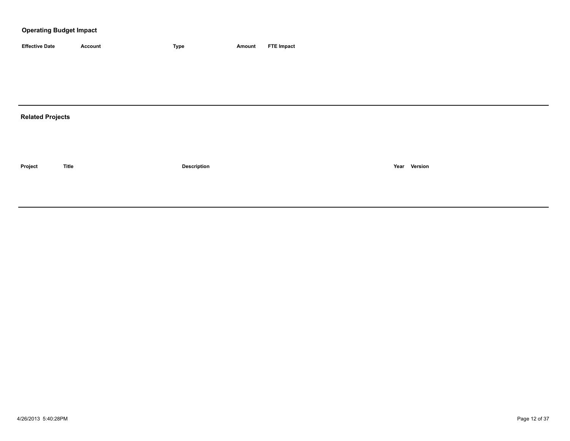| <b>Effective Date</b>   | <b>Account</b> | <b>Type</b>        | <b>Amount</b> | <b>FTE Impact</b> |
|-------------------------|----------------|--------------------|---------------|-------------------|
|                         |                |                    |               |                   |
|                         |                |                    |               |                   |
|                         |                |                    |               |                   |
|                         |                |                    |               |                   |
| <b>Related Projects</b> |                |                    |               |                   |
|                         |                |                    |               |                   |
|                         |                |                    |               |                   |
|                         |                |                    |               |                   |
| Project                 | <b>Title</b>   | <b>Description</b> |               | Year Version      |
|                         |                |                    |               |                   |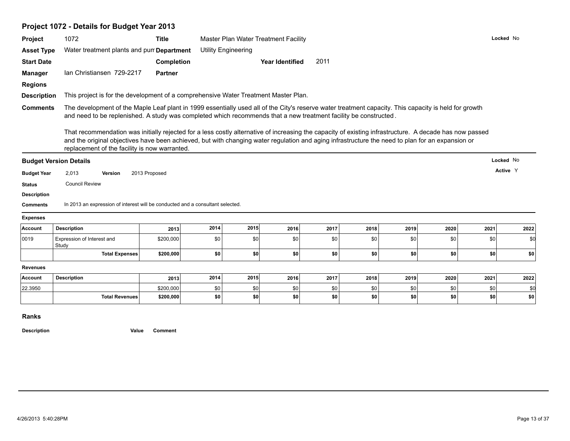# **Project 1072 - Details for Budget Year 2013**

| Project                                                                     | 1072                                                                                                                                                                                                                                                                                                                                                         | <b>Title</b>           |            |                            | Master Plan Water Treatment Facility |              |            |            |            |            | Locked No  |
|-----------------------------------------------------------------------------|--------------------------------------------------------------------------------------------------------------------------------------------------------------------------------------------------------------------------------------------------------------------------------------------------------------------------------------------------------------|------------------------|------------|----------------------------|--------------------------------------|--------------|------------|------------|------------|------------|------------|
| <b>Asset Type</b>                                                           | Water treatment plants and pun Department                                                                                                                                                                                                                                                                                                                    |                        |            | <b>Utility Engineering</b> |                                      |              |            |            |            |            |            |
| <b>Start Date</b>                                                           |                                                                                                                                                                                                                                                                                                                                                              | Completion             |            |                            | <b>Year Identified</b>               | 2011         |            |            |            |            |            |
| <b>Manager</b>                                                              | Ian Christiansen 729-2217                                                                                                                                                                                                                                                                                                                                    | <b>Partner</b>         |            |                            |                                      |              |            |            |            |            |            |
| <b>Regions</b>                                                              |                                                                                                                                                                                                                                                                                                                                                              |                        |            |                            |                                      |              |            |            |            |            |            |
| <b>Description</b>                                                          | This project is for the development of a comprehensive Water Treatment Master Plan.                                                                                                                                                                                                                                                                          |                        |            |                            |                                      |              |            |            |            |            |            |
| <b>Comments</b>                                                             | The development of the Maple Leaf plant in 1999 essentially used all of the City's reserve water treatment capacity. This capacity is held for growth<br>and need to be replenished. A study was completed which recommends that a new treatment facility be constructed.                                                                                    |                        |            |                            |                                      |              |            |            |            |            |            |
|                                                                             | That recommendation was initially rejected for a less costly alternative of increasing the capacity of existing infrastructure. A decade has now passed<br>and the original objectives have been achieved, but with changing water regulation and aging infrastructure the need to plan for an expansion or<br>replacement of the facility is now warranted. |                        |            |                            |                                      |              |            |            |            |            |            |
|                                                                             | <b>Budget Version Details</b>                                                                                                                                                                                                                                                                                                                                |                        |            |                            |                                      |              |            |            |            |            | Locked No  |
| <b>Budget Year</b>                                                          | 2,013<br><b>Version</b>                                                                                                                                                                                                                                                                                                                                      | 2013 Proposed          |            |                            |                                      |              |            |            |            |            | Active Y   |
| <b>Status</b>                                                               | <b>Council Review</b>                                                                                                                                                                                                                                                                                                                                        |                        |            |                            |                                      |              |            |            |            |            |            |
|                                                                             |                                                                                                                                                                                                                                                                                                                                                              |                        |            |                            |                                      |              |            |            |            |            |            |
|                                                                             |                                                                                                                                                                                                                                                                                                                                                              |                        |            |                            |                                      |              |            |            |            |            |            |
|                                                                             | In 2013 an expression of interest will be conducted and a consultant selected.                                                                                                                                                                                                                                                                               |                        |            |                            |                                      |              |            |            |            |            |            |
|                                                                             |                                                                                                                                                                                                                                                                                                                                                              |                        |            |                            |                                      |              |            |            |            |            |            |
|                                                                             | <b>Description</b>                                                                                                                                                                                                                                                                                                                                           | 2013                   | 2014       | 2015                       | 2016                                 | 2017         | 2018       | 2019       | 2020       | 2021       | 2022       |
| <b>Description</b><br><b>Comments</b><br><b>Expenses</b><br>Account<br>0019 | Expression of Interest and<br>Study                                                                                                                                                                                                                                                                                                                          | \$200,000              | \$0        | \$0                        | \$0                                  | \$0          | \$0        | \$0        | \$0        | \$0        | \$0        |
|                                                                             | <b>Total Expenses</b>                                                                                                                                                                                                                                                                                                                                        | \$200,000              | \$0        | \$0                        | sol                                  | \$0          | \$0        | \$0        | \$0        | \$0        | \$0        |
|                                                                             |                                                                                                                                                                                                                                                                                                                                                              |                        |            |                            |                                      |              |            |            |            |            |            |
|                                                                             | <b>Description</b>                                                                                                                                                                                                                                                                                                                                           | 2013                   | 2014       | 2015                       | 2016                                 | 2017         | 2018       | 2019       | 2020       | 2021       | 2022       |
| <b>Revenues</b><br>Account<br>22.3950                                       | <b>Total Revenues</b>                                                                                                                                                                                                                                                                                                                                        | \$200,000<br>\$200,000 | \$0<br>\$0 | \$0<br>-SO                 | \$0<br>\$0                           | \$0 <br>so l | \$0<br>\$0 | \$0<br>\$0 | \$0<br>\$0 | \$0<br>\$0 | \$0<br>\$0 |

**Ranks**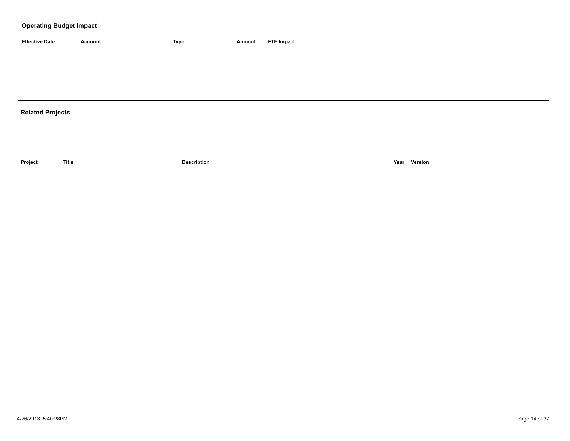| <b>Effective Date</b> | Account | <b>Type</b> | Amount | <b>FTE Impact</b> |
|-----------------------|---------|-------------|--------|-------------------|

# **Related Projects**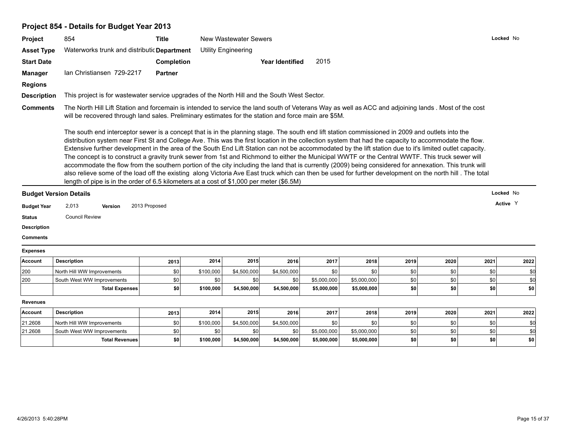# **Project 854 - Details for Budget Year 2013**

| <b>Project</b>     | 854                                                                                                                                                                                                                                                                                                                                                                                                                                                                                                                                                                                                                                                                                                                                                                                                                                                                                                                                                                                                                                          | <b>Title</b>      |           | New Wastewater Sewers      |                        |             |             |      |      |      | Locked No |
|--------------------|----------------------------------------------------------------------------------------------------------------------------------------------------------------------------------------------------------------------------------------------------------------------------------------------------------------------------------------------------------------------------------------------------------------------------------------------------------------------------------------------------------------------------------------------------------------------------------------------------------------------------------------------------------------------------------------------------------------------------------------------------------------------------------------------------------------------------------------------------------------------------------------------------------------------------------------------------------------------------------------------------------------------------------------------|-------------------|-----------|----------------------------|------------------------|-------------|-------------|------|------|------|-----------|
| <b>Asset Type</b>  | Waterworks trunk and distributic Department                                                                                                                                                                                                                                                                                                                                                                                                                                                                                                                                                                                                                                                                                                                                                                                                                                                                                                                                                                                                  |                   |           | <b>Utility Engineering</b> |                        |             |             |      |      |      |           |
| <b>Start Date</b>  |                                                                                                                                                                                                                                                                                                                                                                                                                                                                                                                                                                                                                                                                                                                                                                                                                                                                                                                                                                                                                                              | <b>Completion</b> |           |                            | <b>Year Identified</b> | 2015        |             |      |      |      |           |
| <b>Manager</b>     | Ian Christiansen 729-2217                                                                                                                                                                                                                                                                                                                                                                                                                                                                                                                                                                                                                                                                                                                                                                                                                                                                                                                                                                                                                    | <b>Partner</b>    |           |                            |                        |             |             |      |      |      |           |
| <b>Regions</b>     |                                                                                                                                                                                                                                                                                                                                                                                                                                                                                                                                                                                                                                                                                                                                                                                                                                                                                                                                                                                                                                              |                   |           |                            |                        |             |             |      |      |      |           |
| <b>Description</b> | This project is for wastewater service upgrades of the North Hill and the South West Sector.                                                                                                                                                                                                                                                                                                                                                                                                                                                                                                                                                                                                                                                                                                                                                                                                                                                                                                                                                 |                   |           |                            |                        |             |             |      |      |      |           |
| <b>Comments</b>    | The North Hill Lift Station and forcemain is intended to service the land south of Veterans Way as well as ACC and adjoining lands. Most of the cost<br>will be recovered through land sales. Preliminary estimates for the station and force main are \$5M.                                                                                                                                                                                                                                                                                                                                                                                                                                                                                                                                                                                                                                                                                                                                                                                 |                   |           |                            |                        |             |             |      |      |      |           |
|                    | The south end interceptor sewer is a concept that is in the planning stage. The south end lift station commissioned in 2009 and outlets into the<br>distribution system near First St and College Ave. This was the first location in the collection system that had the capacity to accommodate the flow.<br>Extensive further development in the area of the South End Lift Station can not be accommodated by the lift station due to it's limited outlet capacity.<br>The concept is to construct a gravity trunk sewer from 1st and Richmond to either the Municipal WWTF or the Central WWTF. This truck sewer will<br>accommodate the flow from the southern portion of the city including the land that is currently (2009) being considered for annexation. This trunk will<br>also relieve some of the load off the existing along Victoria Ave East truck which can then be used for further development on the north hill. The total<br>length of pipe is in the order of 6.5 kilometers at a cost of \$1,000 per meter (\$6.5M) |                   |           |                            |                        |             |             |      |      |      |           |
|                    | <b>Budget Version Details</b>                                                                                                                                                                                                                                                                                                                                                                                                                                                                                                                                                                                                                                                                                                                                                                                                                                                                                                                                                                                                                |                   |           |                            |                        |             |             |      |      |      | Locked No |
| <b>Budget Year</b> | 2,013<br><b>Version</b>                                                                                                                                                                                                                                                                                                                                                                                                                                                                                                                                                                                                                                                                                                                                                                                                                                                                                                                                                                                                                      | 2013 Proposed     |           |                            |                        |             |             |      |      |      | Active Y  |
| <b>Status</b>      | <b>Council Review</b>                                                                                                                                                                                                                                                                                                                                                                                                                                                                                                                                                                                                                                                                                                                                                                                                                                                                                                                                                                                                                        |                   |           |                            |                        |             |             |      |      |      |           |
| <b>Description</b> |                                                                                                                                                                                                                                                                                                                                                                                                                                                                                                                                                                                                                                                                                                                                                                                                                                                                                                                                                                                                                                              |                   |           |                            |                        |             |             |      |      |      |           |
| <b>Comments</b>    |                                                                                                                                                                                                                                                                                                                                                                                                                                                                                                                                                                                                                                                                                                                                                                                                                                                                                                                                                                                                                                              |                   |           |                            |                        |             |             |      |      |      |           |
| <b>Expenses</b>    |                                                                                                                                                                                                                                                                                                                                                                                                                                                                                                                                                                                                                                                                                                                                                                                                                                                                                                                                                                                                                                              |                   |           |                            |                        |             |             |      |      |      |           |
| Account            | <b>Description</b>                                                                                                                                                                                                                                                                                                                                                                                                                                                                                                                                                                                                                                                                                                                                                                                                                                                                                                                                                                                                                           | 2013              | 2014      | 2015                       | 2016                   | 2017        | 2018        | 2019 | 2020 | 2021 | 2022      |
| 200                | North Hill WW Improvements                                                                                                                                                                                                                                                                                                                                                                                                                                                                                                                                                                                                                                                                                                                                                                                                                                                                                                                                                                                                                   | \$0               | \$100,000 | \$4,500,000                | \$4,500,000            | \$0         | \$0         | \$0  | \$0  | \$0  | \$0       |
| 200                | South West WW Improvements                                                                                                                                                                                                                                                                                                                                                                                                                                                                                                                                                                                                                                                                                                                                                                                                                                                                                                                                                                                                                   | \$0               | \$0       | \$0                        | \$0                    | \$5,000,000 | \$5,000,000 | \$0  | \$0  | \$0  | \$0       |
|                    | <b>Total Expenses</b>                                                                                                                                                                                                                                                                                                                                                                                                                                                                                                                                                                                                                                                                                                                                                                                                                                                                                                                                                                                                                        | \$0               | \$100,000 | \$4,500,000                | \$4,500,000            | \$5,000,000 | \$5,000,000 | \$0  | \$0  | \$0  | \$0       |
| <b>Revenues</b>    |                                                                                                                                                                                                                                                                                                                                                                                                                                                                                                                                                                                                                                                                                                                                                                                                                                                                                                                                                                                                                                              |                   |           |                            |                        |             |             |      |      |      |           |
| Account            | <b>Description</b>                                                                                                                                                                                                                                                                                                                                                                                                                                                                                                                                                                                                                                                                                                                                                                                                                                                                                                                                                                                                                           | 2013              | 2014      | 2015                       | 2016                   | 2017        | 2018        | 2019 | 2020 | 2021 | 2022      |
|                    |                                                                                                                                                                                                                                                                                                                                                                                                                                                                                                                                                                                                                                                                                                                                                                                                                                                                                                                                                                                                                                              |                   |           |                            |                        |             |             |      |      |      |           |

| \$0 <sub>1</sub><br>¢Λ<br>SO I<br>21.2608<br>\$4,500,000<br>\$100,000<br>\$4,500,000<br>North Hill WW Improvements<br>¢٢<br>21.2608<br>\$5,000,000<br>\$0 l<br>\$O I<br>\$5,000,000<br>th West WW Improvements<br><sup>1</sup> Sout<br>¢٢<br>\$100,000<br>\$5,000,000<br>\$5,000,000<br>\$4,500,000<br>\$O<br>Total Revenues<br>\$4,500,000<br>SO I<br>\$0<br><b>SO</b> | <b>Invoum</b> | <b>POSUIPHUI</b> | <b>2019</b> | $-0.7$ | $-0.0$ | <b>LUIU</b> | <b>4911</b> | 20 I U | 20 I J | ZUZU | AVA II | LVLL |
|-------------------------------------------------------------------------------------------------------------------------------------------------------------------------------------------------------------------------------------------------------------------------------------------------------------------------------------------------------------------------|---------------|------------------|-------------|--------|--------|-------------|-------------|--------|--------|------|--------|------|
| <b>SO</b>                                                                                                                                                                                                                                                                                                                                                               |               |                  |             |        |        |             |             |        |        |      |        |      |
|                                                                                                                                                                                                                                                                                                                                                                         |               |                  |             |        |        |             |             |        |        |      |        |      |
|                                                                                                                                                                                                                                                                                                                                                                         |               |                  |             |        |        |             |             |        |        |      |        |      |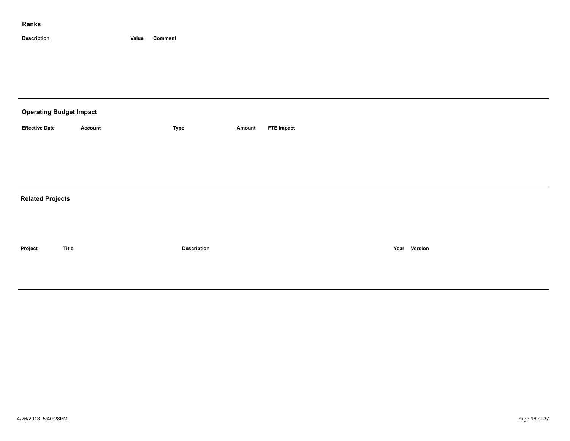| <b>Operating Budget Impact</b> |                |             |        |                   |
|--------------------------------|----------------|-------------|--------|-------------------|
| <b>Effective Date</b>          | <b>Account</b> | Type        | Amount | <b>FTE Impact</b> |
|                                |                |             |        |                   |
|                                |                |             |        |                   |
|                                |                |             |        |                   |
| <b>Related Projects</b>        |                |             |        |                   |
|                                |                |             |        |                   |
|                                |                |             |        |                   |
| Project                        | <b>Title</b>   | Description |        | Year Version      |
|                                |                |             |        |                   |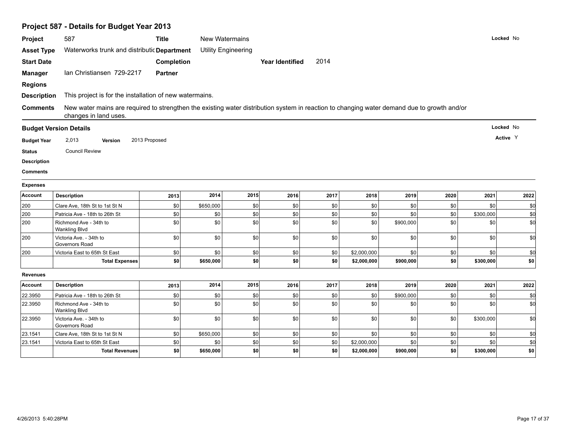| Project            | 587                                                                                                                                                                  | <b>Title</b>   |           | New Watermains             |                        |      |             |           |      |           | Locked No |
|--------------------|----------------------------------------------------------------------------------------------------------------------------------------------------------------------|----------------|-----------|----------------------------|------------------------|------|-------------|-----------|------|-----------|-----------|
| <b>Asset Type</b>  | Waterworks trunk and distributic Department                                                                                                                          |                |           | <b>Utility Engineering</b> |                        |      |             |           |      |           |           |
| <b>Start Date</b>  |                                                                                                                                                                      | Completion     |           |                            | <b>Year Identified</b> | 2014 |             |           |      |           |           |
| <b>Manager</b>     | Ian Christiansen 729-2217                                                                                                                                            | <b>Partner</b> |           |                            |                        |      |             |           |      |           |           |
| <b>Regions</b>     |                                                                                                                                                                      |                |           |                            |                        |      |             |           |      |           |           |
| <b>Description</b> | This project is for the installation of new watermains.                                                                                                              |                |           |                            |                        |      |             |           |      |           |           |
|                    |                                                                                                                                                                      |                |           |                            |                        |      |             |           |      |           |           |
| <b>Comments</b>    | New water mains are required to strengthen the existing water distribution system in reaction to changing water demand due to growth and/or<br>changes in land uses. |                |           |                            |                        |      |             |           |      |           |           |
|                    | <b>Budget Version Details</b>                                                                                                                                        |                |           |                            |                        |      |             |           |      |           | Locked No |
| <b>Budget Year</b> | 2,013<br>Version                                                                                                                                                     | 2013 Proposed  |           |                            |                        |      |             |           |      |           | Active Y  |
| <b>Status</b>      | <b>Council Review</b>                                                                                                                                                |                |           |                            |                        |      |             |           |      |           |           |
| <b>Description</b> |                                                                                                                                                                      |                |           |                            |                        |      |             |           |      |           |           |
| <b>Comments</b>    |                                                                                                                                                                      |                |           |                            |                        |      |             |           |      |           |           |
| <b>Expenses</b>    |                                                                                                                                                                      |                |           |                            |                        |      |             |           |      |           |           |
| <b>Account</b>     | <b>Description</b>                                                                                                                                                   | 2013           | 2014      | 2015                       | 2016                   | 2017 | 2018        | 2019      | 2020 | 2021      | 2022      |
| 200                | Clare Ave, 18th St to 1st St N                                                                                                                                       | \$0            | \$650,000 | \$0                        | \$0                    | \$0  | \$0         | \$0       | \$0  | \$0       | \$0       |
| 200                | Patricia Ave - 18th to 26th St                                                                                                                                       | \$0            | \$0       | \$0                        | \$0                    | \$0  | \$0         | \$0       | \$0  | \$300,000 | \$d       |
| 200                | Richmond Ave - 34th to<br><b>Wankling Blvd</b>                                                                                                                       | \$0            | \$0       | \$0                        | \$0                    | \$0  | \$0         | \$900,000 | \$0  | \$0       | \$d       |
| 200                | Victoria Ave. - 34th to<br>Governors Road                                                                                                                            | \$0            | \$0       | \$0                        | \$0                    | \$0  | \$0         | \$0       | \$0  | \$0       | \$d       |
| 200                | Victoria East to 65th St East                                                                                                                                        | \$0            | \$0       | \$0                        | \$0                    | \$0  | \$2,000,000 | \$0       | \$0  | \$0       | \$d       |
|                    | <b>Total Expenses</b>                                                                                                                                                | \$0            | \$650,000 | \$0                        | \$0                    | \$0  | \$2,000,000 | \$900,000 | \$0  | \$300,000 | \$0       |
| <b>Revenues</b>    |                                                                                                                                                                      |                |           |                            |                        |      |             |           |      |           |           |
| Account            | <b>Description</b>                                                                                                                                                   | 2013           | 2014      | 2015                       | 2016                   | 2017 | 2018        | 2019      | 2020 | 2021      | 2022      |
| 22.3950            | Patricia Ave - 18th to 26th St                                                                                                                                       | \$0            | \$0       | \$0                        | \$0                    | \$0  | \$0         | \$900,000 | \$0  | \$0       | \$d       |
| 22.3950            | Richmond Ave - 34th to<br><b>Wankling Blvd</b>                                                                                                                       | \$0            | \$0       | \$0                        | \$0                    | \$0  | \$0         | \$0       | \$0  | \$0       | \$d       |
| 22.3950            | Victoria Ave. - 34th to<br>Governors Road                                                                                                                            | \$0            | \$0       | \$0                        | \$0                    | \$0  | \$0         | \$0       | \$0  | \$300,000 | \$d       |
| 23.1541            | Clare Ave, 18th St to 1st St N                                                                                                                                       | \$0            | \$650,000 | \$0                        | \$0                    | \$0  | \$0         | \$0       | \$0  | \$0       | \$d       |
| 23.1541            | Victoria East to 65th St East                                                                                                                                        | \$0            | \$0       | \$0                        | \$0                    | \$0  | \$2,000,000 | \$0       | \$0  | \$0       | \$0       |
|                    | <b>Total Revenues</b>                                                                                                                                                | \$0            | \$650,000 | \$0                        | \$0                    | \$0  | \$2,000,000 | \$900,000 | \$0  | \$300,000 | \$0       |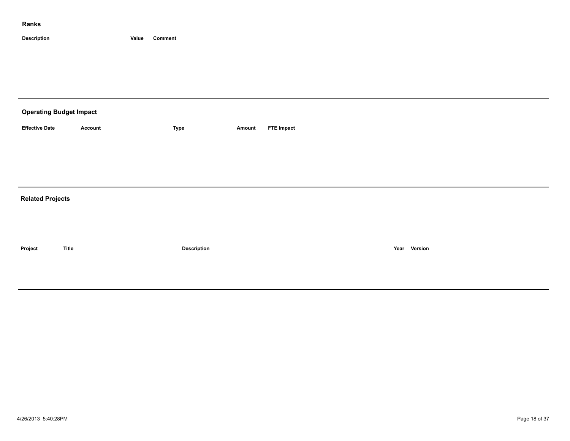| <b>Operating Budget Impact</b> |                |             |        |                   |
|--------------------------------|----------------|-------------|--------|-------------------|
| <b>Effective Date</b>          | <b>Account</b> | Type        | Amount | <b>FTE Impact</b> |
|                                |                |             |        |                   |
|                                |                |             |        |                   |
|                                |                |             |        |                   |
| <b>Related Projects</b>        |                |             |        |                   |
|                                |                |             |        |                   |
|                                |                |             |        |                   |
| Project                        | <b>Title</b>   | Description |        | Year Version      |
|                                |                |             |        |                   |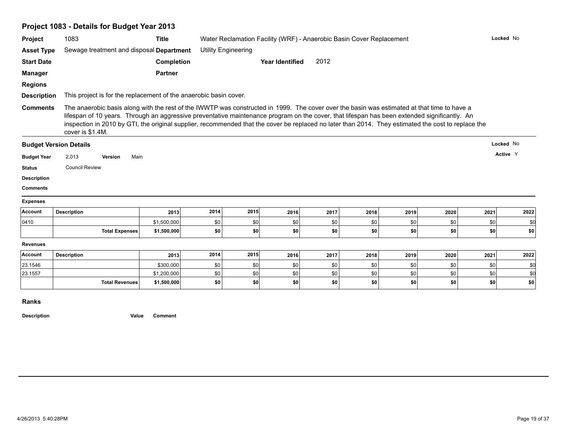|                                       | Project 1083 - Details for Budget Year 2013                                                                                                                                                                                                                                                                                                                                                                                                                            |                |                            |            |                        |              |                                                                      |            |      |           |      |
|---------------------------------------|------------------------------------------------------------------------------------------------------------------------------------------------------------------------------------------------------------------------------------------------------------------------------------------------------------------------------------------------------------------------------------------------------------------------------------------------------------------------|----------------|----------------------------|------------|------------------------|--------------|----------------------------------------------------------------------|------------|------|-----------|------|
| Project                               | 1083                                                                                                                                                                                                                                                                                                                                                                                                                                                                   | <b>Title</b>   |                            |            |                        |              | Water Reclamation Facility (WRF) - Anaerobic Basin Cover Replacement |            |      | Locked No |      |
| <b>Asset Type</b>                     | Sewage treatment and disposal Department                                                                                                                                                                                                                                                                                                                                                                                                                               |                | <b>Utility Engineering</b> |            |                        |              |                                                                      |            |      |           |      |
| <b>Start Date</b>                     |                                                                                                                                                                                                                                                                                                                                                                                                                                                                        | Completion     |                            |            | <b>Year Identified</b> | 2012         |                                                                      |            |      |           |      |
| <b>Manager</b>                        |                                                                                                                                                                                                                                                                                                                                                                                                                                                                        | <b>Partner</b> |                            |            |                        |              |                                                                      |            |      |           |      |
| <b>Regions</b>                        |                                                                                                                                                                                                                                                                                                                                                                                                                                                                        |                |                            |            |                        |              |                                                                      |            |      |           |      |
| <b>Description</b>                    | This project is for the replacement of the anaerobic basin cover.                                                                                                                                                                                                                                                                                                                                                                                                      |                |                            |            |                        |              |                                                                      |            |      |           |      |
| <b>Comments</b>                       | The anaerobic basis along with the rest of the IWWTP was constructed in 1999. The cover over the basin was estimated at that time to have a<br>lifespan of 10 years. Through an aggressive preventative maintenance program on the cover, that lifespan has been extended significantly. An<br>inspection in 2010 by GTI, the original supplier, recommended that the cover be replaced no later than 2014. They estimated the cost to replace the<br>cover is \$1.4M. |                |                            |            |                        |              |                                                                      |            |      |           |      |
|                                       | <b>Budget Version Details</b>                                                                                                                                                                                                                                                                                                                                                                                                                                          |                |                            |            |                        |              |                                                                      |            |      | Locked No |      |
|                                       |                                                                                                                                                                                                                                                                                                                                                                                                                                                                        |                |                            |            |                        |              |                                                                      |            |      | Active Y  |      |
| <b>Budget Year</b>                    | 2,013<br>Main<br>Version                                                                                                                                                                                                                                                                                                                                                                                                                                               |                |                            |            |                        |              |                                                                      |            |      |           |      |
| <b>Status</b>                         | <b>Council Review</b>                                                                                                                                                                                                                                                                                                                                                                                                                                                  |                |                            |            |                        |              |                                                                      |            |      |           |      |
|                                       |                                                                                                                                                                                                                                                                                                                                                                                                                                                                        |                |                            |            |                        |              |                                                                      |            |      |           |      |
| <b>Description</b><br><b>Comments</b> |                                                                                                                                                                                                                                                                                                                                                                                                                                                                        |                |                            |            |                        |              |                                                                      |            |      |           |      |
| <b>Expenses</b>                       |                                                                                                                                                                                                                                                                                                                                                                                                                                                                        |                |                            |            |                        |              |                                                                      |            |      |           |      |
| Account                               | <b>Description</b>                                                                                                                                                                                                                                                                                                                                                                                                                                                     | 2013           | 2014                       | 2015       | 2016                   | 2017         | 2018                                                                 | 2019       | 2020 | 2021      | 2022 |
| 0410                                  |                                                                                                                                                                                                                                                                                                                                                                                                                                                                        | \$1,500,000    | \$0                        | \$0        | \$0                    | \$0          | \$0                                                                  | \$0        | \$0  | \$0       | \$0  |
|                                       | <b>Total Expenses</b>                                                                                                                                                                                                                                                                                                                                                                                                                                                  | \$1,500,000    | \$0                        | \$O        | \$O                    | \$0          | \$0                                                                  | <b>\$0</b> | \$0  | \$0       | \$0  |
| Revenues                              |                                                                                                                                                                                                                                                                                                                                                                                                                                                                        |                |                            |            |                        |              |                                                                      |            |      |           |      |
| Account                               | <b>Description</b>                                                                                                                                                                                                                                                                                                                                                                                                                                                     | 2013           | 2014                       | 2015       | 2016                   | 2017         | 2018                                                                 | 2019       | 2020 | 2021      | 2022 |
| 23.1546                               |                                                                                                                                                                                                                                                                                                                                                                                                                                                                        | \$300,000      | \$0                        | <b>\$0</b> | \$0                    | \$0          | \$0                                                                  | \$0        | \$0  | \$0       | \$0  |
| 23.1557                               |                                                                                                                                                                                                                                                                                                                                                                                                                                                                        | \$1,200,000    | \$0                        | $ $ so     | \$0                    | \$0 <br> \$0 | \$0                                                                  | \$0        | \$0  | \$0       | \$d  |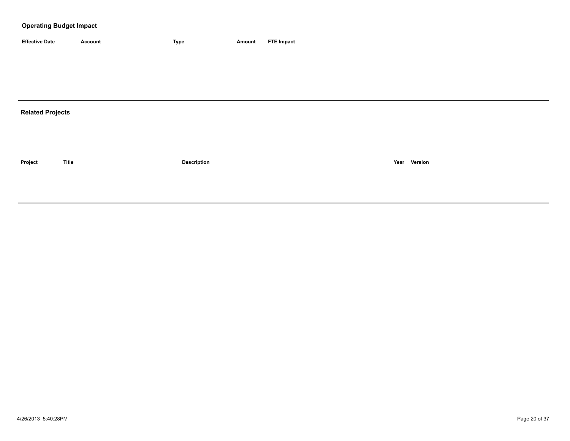| <b>Effective Date</b> | Account | <b>Type</b> | Amount | <b>FTE Impact</b> |
|-----------------------|---------|-------------|--------|-------------------|

# **Related Projects**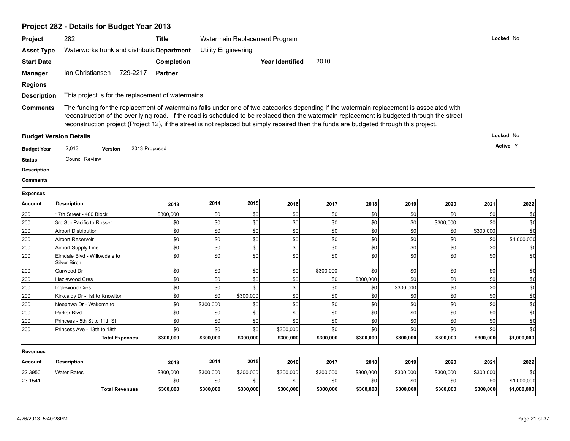# **Project 282 - Details for Budget Year 2013**

| <b>Project</b>     | 282                                                                                                                                                                                                                                                                                                                                                                                                                                   | <b>Title</b>      |                            | Watermain Replacement Program |                        |           |           |           |           |           |             |
|--------------------|---------------------------------------------------------------------------------------------------------------------------------------------------------------------------------------------------------------------------------------------------------------------------------------------------------------------------------------------------------------------------------------------------------------------------------------|-------------------|----------------------------|-------------------------------|------------------------|-----------|-----------|-----------|-----------|-----------|-------------|
| <b>Asset Type</b>  | Waterworks trunk and distributic Department                                                                                                                                                                                                                                                                                                                                                                                           |                   | <b>Utility Engineering</b> |                               |                        |           |           |           |           |           |             |
| <b>Start Date</b>  |                                                                                                                                                                                                                                                                                                                                                                                                                                       | <b>Completion</b> |                            |                               | <b>Year Identified</b> | 2010      |           |           |           |           |             |
| <b>Manager</b>     | Ian Christiansen<br>729-2217                                                                                                                                                                                                                                                                                                                                                                                                          | <b>Partner</b>    |                            |                               |                        |           |           |           |           |           |             |
| <b>Regions</b>     |                                                                                                                                                                                                                                                                                                                                                                                                                                       |                   |                            |                               |                        |           |           |           |           |           |             |
| <b>Description</b> | This project is for the replacement of watermains.                                                                                                                                                                                                                                                                                                                                                                                    |                   |                            |                               |                        |           |           |           |           |           |             |
|                    |                                                                                                                                                                                                                                                                                                                                                                                                                                       |                   |                            |                               |                        |           |           |           |           |           |             |
| <b>Comments</b>    | The funding for the replacement of watermains falls under one of two categories depending if the watermain replacement is associated with<br>reconstruction of the over lying road. If the road is scheduled to be replaced then the watermain replacement is budgeted through the street<br>reconstruction project (Project 12), if the street is not replaced but simply repaired then the funds are budgeted through this project. |                   |                            |                               |                        |           |           |           |           |           |             |
|                    | <b>Budget Version Details</b>                                                                                                                                                                                                                                                                                                                                                                                                         |                   |                            |                               |                        |           |           |           |           |           | Locked No   |
| <b>Budget Year</b> | 2,013<br><b>Version</b>                                                                                                                                                                                                                                                                                                                                                                                                               | 2013 Proposed     |                            |                               |                        |           |           |           |           |           | Active Y    |
|                    | <b>Council Review</b>                                                                                                                                                                                                                                                                                                                                                                                                                 |                   |                            |                               |                        |           |           |           |           |           |             |
| <b>Status</b>      |                                                                                                                                                                                                                                                                                                                                                                                                                                       |                   |                            |                               |                        |           |           |           |           |           |             |
| <b>Description</b> |                                                                                                                                                                                                                                                                                                                                                                                                                                       |                   |                            |                               |                        |           |           |           |           |           |             |
| Comments           |                                                                                                                                                                                                                                                                                                                                                                                                                                       |                   |                            |                               |                        |           |           |           |           |           |             |
| <b>Expenses</b>    |                                                                                                                                                                                                                                                                                                                                                                                                                                       |                   |                            |                               |                        |           |           |           |           |           |             |
| <b>Account</b>     | <b>Description</b>                                                                                                                                                                                                                                                                                                                                                                                                                    | 2013              | 2014                       | 2015                          | 2016                   | 2017      | 2018      | 2019      | 2020      | 2021      | 2022        |
| 200                | 17th Street - 400 Block                                                                                                                                                                                                                                                                                                                                                                                                               | \$300,000         | \$0                        | \$0                           | \$0                    | \$0       | \$0       | \$0       | \$0       | \$0       | \$d         |
| 200                | 3rd St - Pacific to Rosser                                                                                                                                                                                                                                                                                                                                                                                                            | \$0               | \$0                        | \$0                           | \$0                    | \$0       | \$0       | \$0       | \$300,000 | \$0       | \$d         |
| 200                | <b>Airport Distribution</b>                                                                                                                                                                                                                                                                                                                                                                                                           | \$0               | \$0                        | \$0                           | \$0                    | \$0       | \$0       | \$0       | \$0       | \$300,000 | \$0         |
| 200                | Airport Reservoir                                                                                                                                                                                                                                                                                                                                                                                                                     | \$0               | \$0                        | \$0                           | \$0                    | \$0       | \$0       | \$0       | \$0       | \$0       | \$1,000,000 |
| 200                | Airport Supply Line                                                                                                                                                                                                                                                                                                                                                                                                                   | \$0               | \$0                        | \$0                           | \$0                    | \$0       | \$0       | \$0       | \$0       | \$0       | \$0         |
| 200                | Elmdale Blvd - Willowdale to<br>Silver Birch                                                                                                                                                                                                                                                                                                                                                                                          | \$0               | \$0                        | sol                           | \$0                    | \$0       | \$0       | \$0       | \$0       | \$0       | sd          |
| 200                | Garwood Dr                                                                                                                                                                                                                                                                                                                                                                                                                            | \$0               | \$0                        | \$0                           | \$0                    | \$300,000 | \$0       | \$0       | \$0       | \$0       | \$d         |
| 200                | Hazlewood Cres                                                                                                                                                                                                                                                                                                                                                                                                                        | \$0               | \$0                        | 30                            | \$0                    | \$0       | \$300,000 | \$0       | \$0       | \$0       | \$d         |
| 200                | <b>Inglewood Cres</b>                                                                                                                                                                                                                                                                                                                                                                                                                 | \$0               | \$0                        | 30                            | \$0                    | \$0       | \$0       | \$300,000 | \$0       | \$0       | \$d         |
| 200                | Kirkcaldy Dr - 1st to Knowlton                                                                                                                                                                                                                                                                                                                                                                                                        | \$0               | \$0                        | \$300,000                     | \$0                    | \$0       | \$0       | \$0       | \$0       | \$0       | \$d         |
| 200                | Neepawa Dr - Wakoma to                                                                                                                                                                                                                                                                                                                                                                                                                | \$0               | \$300,000                  | 30                            | \$0                    | \$0       | \$0       | \$0       | \$0       | \$0       | \$d         |
| 200                | Parker Blvd                                                                                                                                                                                                                                                                                                                                                                                                                           | \$0               | \$0                        | \$0                           | \$0                    | \$0       | \$0       | \$0       | \$0       | \$0       | \$d         |
| 200                | Princess - 5th St to 11th St                                                                                                                                                                                                                                                                                                                                                                                                          | \$0               | \$0                        | \$0                           | \$0                    | \$0       | \$0       | \$0       | \$0       | \$0       | \$0         |
| 200                | Princess Ave - 13th to 18th                                                                                                                                                                                                                                                                                                                                                                                                           | \$0               | \$0                        | \$0                           | \$300,000              | \$0       | \$0       | \$0       | \$0       | \$0       | \$d         |
|                    | <b>Total Expenses</b>                                                                                                                                                                                                                                                                                                                                                                                                                 | \$300,000         | \$300,000                  | \$300,000                     | \$300,000              | \$300,000 | \$300,000 | \$300,000 | \$300,000 | \$300,000 | \$1,000,000 |
| Revenues           |                                                                                                                                                                                                                                                                                                                                                                                                                                       |                   |                            |                               |                        |           |           |           |           |           |             |
| Account            | <b>Description</b>                                                                                                                                                                                                                                                                                                                                                                                                                    | 2013              | 2014                       | 2015                          | 2016                   | 2017      | 2018      | 2019      | 2020      | 2021      | 2022        |
| 22.3950            | <b>Water Rates</b>                                                                                                                                                                                                                                                                                                                                                                                                                    | \$300,000         | \$300,000                  | \$300,000                     | \$300,000              | \$300,000 | \$300,000 | \$300,000 | \$300,000 | \$300,000 | \$0         |
| 23.1541            |                                                                                                                                                                                                                                                                                                                                                                                                                                       | \$0               | \$0                        | \$0                           | \$0                    | \$0       | \$0       | \$0       | \$0       | \$0       | \$1,000,000 |
|                    | <b>Total Revenues</b>                                                                                                                                                                                                                                                                                                                                                                                                                 | \$300,000         | \$300,000                  | \$300,000                     | \$300,000              | \$300,000 | \$300,000 | \$300,000 | \$300,000 | \$300,000 | \$1,000,000 |
|                    |                                                                                                                                                                                                                                                                                                                                                                                                                                       |                   |                            |                               |                        |           |           |           |           |           |             |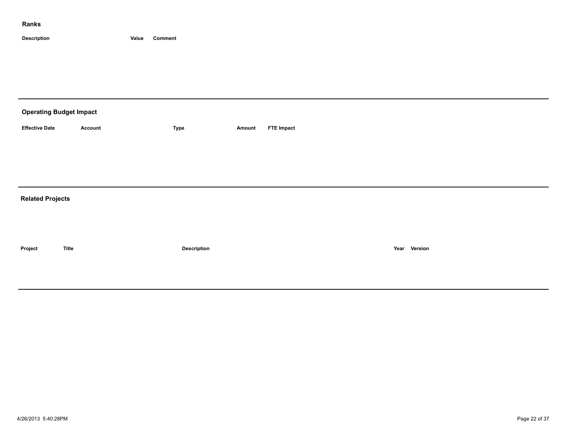| <b>Operating Budget Impact</b> |                |             |        |                   |
|--------------------------------|----------------|-------------|--------|-------------------|
| <b>Effective Date</b>          | <b>Account</b> | Type        | Amount | <b>FTE Impact</b> |
|                                |                |             |        |                   |
|                                |                |             |        |                   |
|                                |                |             |        |                   |
| <b>Related Projects</b>        |                |             |        |                   |
|                                |                |             |        |                   |
|                                |                |             |        |                   |
| Project                        | <b>Title</b>   | Description |        | Year Version      |
|                                |                |             |        |                   |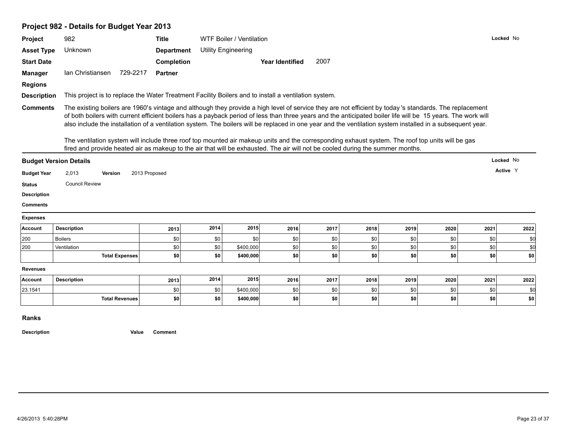# **Project 982 - Details for Budget Year 2013**

|                                                                                                                   | 982                                                                                                                                                                                                                                                                                                                                                                                                                                                                                                                                                                                                                                                                                                                                                                        | <b>Title</b>               |      | WTF Boiler / Ventilation   |                        |      |      |      |      |      | Locked No |
|-------------------------------------------------------------------------------------------------------------------|----------------------------------------------------------------------------------------------------------------------------------------------------------------------------------------------------------------------------------------------------------------------------------------------------------------------------------------------------------------------------------------------------------------------------------------------------------------------------------------------------------------------------------------------------------------------------------------------------------------------------------------------------------------------------------------------------------------------------------------------------------------------------|----------------------------|------|----------------------------|------------------------|------|------|------|------|------|-----------|
| <b>Asset Type</b>                                                                                                 | Unknown                                                                                                                                                                                                                                                                                                                                                                                                                                                                                                                                                                                                                                                                                                                                                                    | <b>Department</b>          |      | <b>Utility Engineering</b> |                        |      |      |      |      |      |           |
| <b>Start Date</b>                                                                                                 |                                                                                                                                                                                                                                                                                                                                                                                                                                                                                                                                                                                                                                                                                                                                                                            | Completion                 |      |                            | <b>Year Identified</b> | 2007 |      |      |      |      |           |
| <b>Manager</b>                                                                                                    | Ian Christiansen                                                                                                                                                                                                                                                                                                                                                                                                                                                                                                                                                                                                                                                                                                                                                           | 729-2217<br><b>Partner</b> |      |                            |                        |      |      |      |      |      |           |
| <b>Regions</b>                                                                                                    |                                                                                                                                                                                                                                                                                                                                                                                                                                                                                                                                                                                                                                                                                                                                                                            |                            |      |                            |                        |      |      |      |      |      |           |
| <b>Description</b>                                                                                                | This project is to replace the Water Treatment Facility Boilers and to install a ventilation system.                                                                                                                                                                                                                                                                                                                                                                                                                                                                                                                                                                                                                                                                       |                            |      |                            |                        |      |      |      |      |      |           |
| <b>Comments</b>                                                                                                   | The existing boilers are 1960's vintage and although they provide a high level of service they are not efficient by today's standards. The replacement<br>of both boilers with current efficient boilers has a payback period of less than three years and the anticipated boiler life will be 15 years. The work will<br>also include the installation of a ventilation system. The boilers will be replaced in one year and the ventilation system installed in a subsequent year.<br>The ventilation system will include three roof top mounted air makeup units and the corresponding exhaust system. The roof top units will be gas<br>fired and provide heated air as makeup to the air that will be exhausted. The air will not be cooled during the summer months. |                            |      |                            |                        |      |      |      |      |      |           |
|                                                                                                                   |                                                                                                                                                                                                                                                                                                                                                                                                                                                                                                                                                                                                                                                                                                                                                                            |                            |      |                            |                        |      |      |      |      |      | Locked No |
|                                                                                                                   | <b>Budget Version Details</b>                                                                                                                                                                                                                                                                                                                                                                                                                                                                                                                                                                                                                                                                                                                                              |                            |      |                            |                        |      |      |      |      |      |           |
|                                                                                                                   |                                                                                                                                                                                                                                                                                                                                                                                                                                                                                                                                                                                                                                                                                                                                                                            |                            |      |                            |                        |      |      |      |      |      |           |
|                                                                                                                   | 2,013<br><b>Version</b>                                                                                                                                                                                                                                                                                                                                                                                                                                                                                                                                                                                                                                                                                                                                                    | 2013 Proposed              |      |                            |                        |      |      |      |      |      | Active Y  |
|                                                                                                                   | <b>Council Review</b>                                                                                                                                                                                                                                                                                                                                                                                                                                                                                                                                                                                                                                                                                                                                                      |                            |      |                            |                        |      |      |      |      |      |           |
|                                                                                                                   |                                                                                                                                                                                                                                                                                                                                                                                                                                                                                                                                                                                                                                                                                                                                                                            |                            |      |                            |                        |      |      |      |      |      |           |
|                                                                                                                   |                                                                                                                                                                                                                                                                                                                                                                                                                                                                                                                                                                                                                                                                                                                                                                            |                            |      |                            |                        |      |      |      |      |      |           |
|                                                                                                                   |                                                                                                                                                                                                                                                                                                                                                                                                                                                                                                                                                                                                                                                                                                                                                                            |                            |      |                            |                        |      |      |      |      |      |           |
|                                                                                                                   | <b>Description</b>                                                                                                                                                                                                                                                                                                                                                                                                                                                                                                                                                                                                                                                                                                                                                         | 2013                       | 2014 | 2015                       | 2016                   | 2017 | 2018 | 2019 | 2020 | 2021 | 2022      |
| <b>Budget Year</b><br><b>Status</b><br><b>Description</b><br><b>Comments</b><br><b>Expenses</b><br>Account<br>200 | <b>Boilers</b>                                                                                                                                                                                                                                                                                                                                                                                                                                                                                                                                                                                                                                                                                                                                                             | \$0                        | \$0  | \$0                        | \$0                    | \$0  | \$0  | \$0  | \$0  | \$0  | \$0       |
|                                                                                                                   | Ventilation                                                                                                                                                                                                                                                                                                                                                                                                                                                                                                                                                                                                                                                                                                                                                                | \$0                        | \$0  | \$400,000                  | \$0                    | \$0  | \$0  | \$0  | \$0  | \$0  | \$0       |
| 200                                                                                                               | <b>Total Expenses</b>                                                                                                                                                                                                                                                                                                                                                                                                                                                                                                                                                                                                                                                                                                                                                      | \$0                        | \$0  | \$400,000                  | \$0                    | \$0  | \$0  | \$0  | \$0  | \$0  | \$0       |
|                                                                                                                   |                                                                                                                                                                                                                                                                                                                                                                                                                                                                                                                                                                                                                                                                                                                                                                            |                            |      |                            |                        |      |      |      |      |      |           |
|                                                                                                                   | <b>Description</b>                                                                                                                                                                                                                                                                                                                                                                                                                                                                                                                                                                                                                                                                                                                                                         | 2013                       | 2014 | 2015                       | 2016                   | 2017 | 2018 | 2019 | 2020 | 2021 | 2022      |
| <b>Revenues</b><br>Account<br>23.1541                                                                             |                                                                                                                                                                                                                                                                                                                                                                                                                                                                                                                                                                                                                                                                                                                                                                            | \$0                        | \$0  | \$400,000                  | \$0                    | \$0  | \$0  | \$0  | \$0  | \$0  | \$0       |

**Ranks**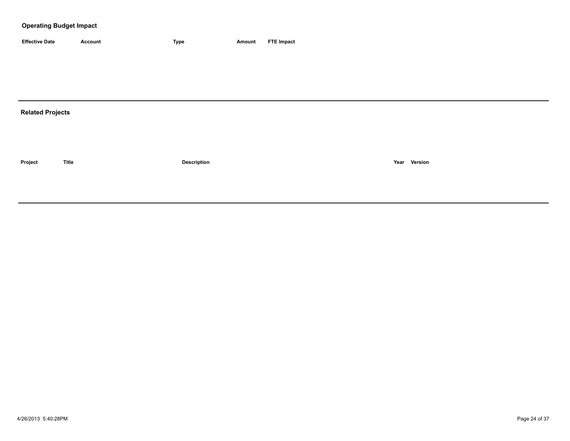| <b>Effective Date</b> | Account | <b>Type</b> | Amount | <b>FTE Impact</b> |
|-----------------------|---------|-------------|--------|-------------------|

# **Related Projects**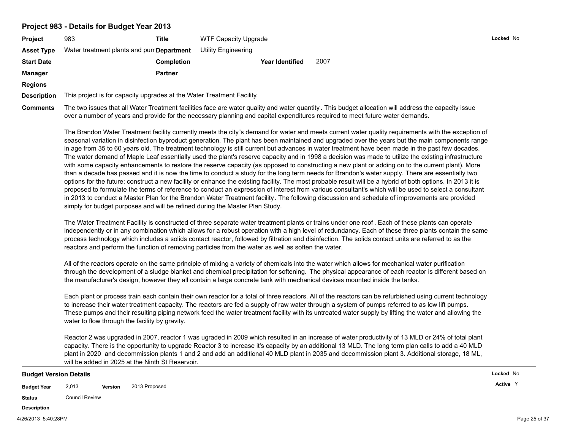#### **Project 983 - Details for Budget Year 2013**

| <b>Project</b>    | 983                                       | Title             | <b>WTF Capacity Upgrade</b> |      |  |
|-------------------|-------------------------------------------|-------------------|-----------------------------|------|--|
| <b>Asset Type</b> | Water treatment plants and pun Department |                   | Utility Engineering         |      |  |
| <b>Start Date</b> |                                           | <b>Completion</b> | <b>Year Identified</b>      | 2007 |  |
| <b>Manager</b>    |                                           | <b>Partner</b>    |                             |      |  |
| <b>Regions</b>    |                                           |                   |                             |      |  |

**Description** This project is for capacity upgrades at the Water Treatment Facility.

**Comments** The two issues that all Water Treatment facilities face are water quality and water quantity . This budget allocation will address the capacity issue over a number of years and provide for the necessary planning and capital expenditures required to meet future water demands.

The Brandon Water Treatment facility currently meets the city's demand for water and meets current water quality requirements with the exception of seasonal variation in disinfection byproduct generation. The plant has been maintained and upgraded over the years but the main components range in age from 35 to 60 years old. The treatment technology is still current but advances in water treatment have been made in the past few decades. The water demand of Maple Leaf essentially used the plant's reserve capacity and in 1998 a decision was made to utilize the existing infrastructure with some capacity enhancements to restore the reserve capacity (as opposed to constructing a new plant or adding on to the current plant). More than a decade has passed and it is now the time to conduct a study for the long term needs for Brandon's water supply. There are essentially two options for the future; construct a new facility or enhance the existing facility. The most probable result will be a hybrid of both options. In 2013 it is proposed to formulate the terms of reference to conduct an expression of interest from various consultant's which will be used to select a consultant in 2013 to conduct a Master Plan for the Brandon Water Treatment facility. The following discussion and schedule of improvements are provided simply for budget purposes and will be refined during the Master Plan Study.

The Water Treatment Facility is constructed of three separate water treatment plants or trains under one roof . Each of these plants can operate independently or in any combination which allows for a robust operation with a high level of redundancy. Each of these three plants contain the same process technology which includes a solids contact reactor, followed by filtration and disinfection. The solids contact units are referred to as the reactors and perform the function of removing particles from the water as well as soften the water.

All of the reactors operate on the same principle of mixing a variety of chemicals into the water which allows for mechanical water purification through the development of a sludge blanket and chemical precipitation for softening. The physical appearance of each reactor is different based on the manufacturer's design, however they all contain a large concrete tank with mechanical devices mounted inside the tanks.

Each plant or process train each contain their own reactor for a total of three reactors. All of the reactors can be refurbished using current technology to increase their water treatment capacity. The reactors are fed a supply of raw water through a system of pumps referred to as low lift pumps. These pumps and their resulting piping network feed the water treatment facility with its untreated water supply by lifting the water and allowing the water to flow through the facility by gravity.

Reactor 2 was upgraded in 2007, reactor 1 was ugraded in 2009 which resulted in an increase of water productivity of 13 MLD or 24% of total plant capacity. There is the opportunity to upgrade Reactor 3 to increase it's capacity by an additional 13 MLD. The long term plan calls to add a 40 MLD plant in 2020 and decommission plants 1 and 2 and add an additional 40 MLD plant in 2035 and decommission plant 3. Additional storage, 18 ML, will be added in 2025 at the Ninth St Reservoir.

#### **Budget Version Details**

**Budget Year Version Active** 2,013 2013 Proposed <sup>Y</sup>

**Status** Council Review

#### **Description**

**Locked** No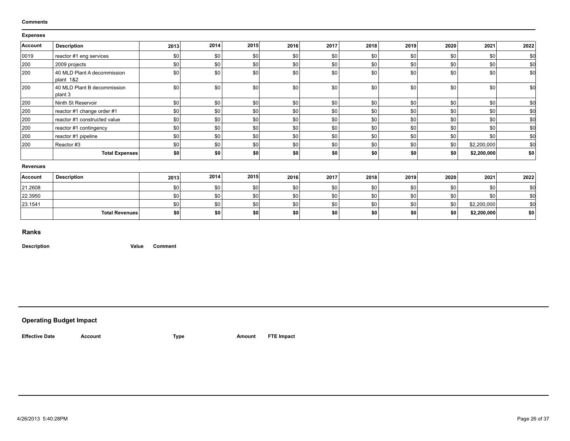#### **Comments**

#### **Expenses**

| Account         | <b>Description</b>                       | 2013 | 2014 | 2015 | 2016 | 2017 | 2018 | 2019 | 2020       | 2021        | 2022            |
|-----------------|------------------------------------------|------|------|------|------|------|------|------|------------|-------------|-----------------|
| 0019            | reactor #1 eng services                  | \$0  | \$0  | \$0  | \$0  | \$0  | \$0  | \$0  | <b>\$0</b> | \$0         | <b>SC</b>       |
| 200             | 2009 projects                            | \$0  | \$0  | \$0  | \$0  | \$0  | \$0  | \$0  | \$0        | \$0         | \$ <sub>6</sub> |
| 200             | 40 MLD Plant A decommission<br>plant 1&2 | \$0  | \$0  | \$0  | \$0  | \$0  | \$0  | \$0  | \$0        | \$0         | \$C             |
| 200             | 40 MLD Plant B decommission<br>plant 3   | \$0  | \$0  | \$0  | \$0  | \$0  | \$0  | \$0  | \$0        | \$0         | \$C             |
| 200             | Ninth St Reservoir                       | \$0  | \$0  | \$0  | \$0  | \$0  | \$0  | \$0  | \$0        | \$0         | \$C             |
| 200             | reactor #1 change order #1               | \$0  | \$0  | \$0  | \$0  | \$0  | \$0  | \$0  | \$0        | \$0         | \$f             |
| 200             | reactor #1 constructed value             | \$0  | \$0  | \$0  | \$0  | \$0  | \$0  | \$0  | \$0        | \$0         | \$1             |
| 200             | reactor #1 contingency                   | \$0  | \$0  | \$0  | \$0  | \$0  | \$0  | \$0  | \$0        | \$0         | \$C             |
| 200             | reactor #1 pipeline                      | \$0  | \$0  | \$0  | \$0  | \$0  | \$0  | \$0  | \$0        | \$0         | \$C             |
| 200             | Reactor #3                               | \$0  | \$0  | \$0  | \$0  | \$0  | \$0  | \$0  | <b>\$0</b> | \$2,200,000 | \$C             |
|                 | <b>Total Expenses</b>                    | \$0  | \$0  | \$0  | \$0  | \$0  | \$0  | \$0  | \$0        | \$2,200,000 | \$0             |
| <b>Revenues</b> |                                          |      |      |      |      |      |      |      |            |             |                 |
| <b>Account</b>  | <b>Description</b>                       | 2013 | 2014 | 2015 | 2016 | 2017 | 2018 | 2019 | 2020       | 2021        | 2022            |
| 21.2608         |                                          | \$0  | \$0  | \$0  | \$0  | \$0  | \$0  | \$0  | \$0        | \$0         | \$0             |
| 22.3950         |                                          | \$0  | \$0  | \$0  | \$0  | \$0  | \$0  | \$0  | \$0        | \$0         | \$0             |
| 23.1541         |                                          | \$0  | \$0  | \$0  | \$0  | \$0  | \$0  | \$0  | \$0        | \$2,200,000 | \$0             |
|                 | <b>Total Revenues</b>                    | \$0  | \$0  | \$0  | \$0  | \$0  | \$0  | \$0  | \$0        | \$2,200,000 | \$0             |
|                 |                                          |      |      |      |      |      |      |      |            |             |                 |

**Ranks**

**Description Value Comment**

**Operating Budget Impact**

**Effective Date Account Type Amount FTE Impact**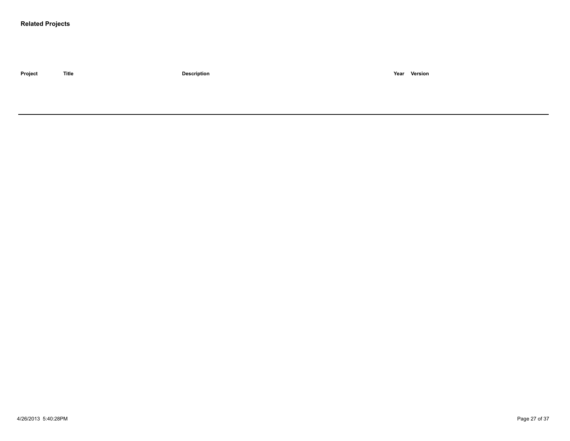#### **Related Projects**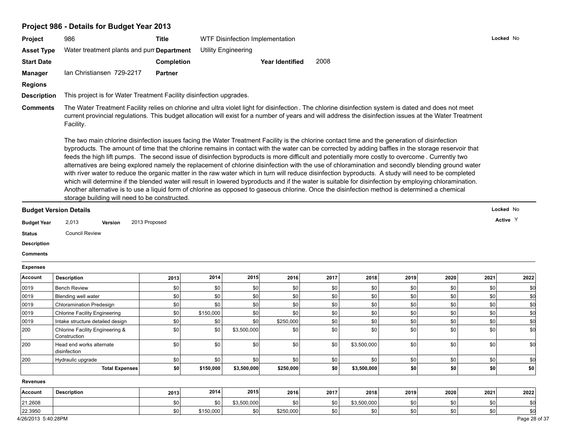# **Project 986 - Details for Budget Year 2013**

| Project                                                                                                                                                                                                   | 986                                                                                                                                                                                                                                                                                                                                                                                                                                                                                                                                                                                                                                                                                                                                                                                                                                                                                                                                                                                                                                                                                                                             | <b>Title</b>   |           | WTF Disinfection Implementation |                        |      |             |             |             | Locked No   |                                                |
|-----------------------------------------------------------------------------------------------------------------------------------------------------------------------------------------------------------|---------------------------------------------------------------------------------------------------------------------------------------------------------------------------------------------------------------------------------------------------------------------------------------------------------------------------------------------------------------------------------------------------------------------------------------------------------------------------------------------------------------------------------------------------------------------------------------------------------------------------------------------------------------------------------------------------------------------------------------------------------------------------------------------------------------------------------------------------------------------------------------------------------------------------------------------------------------------------------------------------------------------------------------------------------------------------------------------------------------------------------|----------------|-----------|---------------------------------|------------------------|------|-------------|-------------|-------------|-------------|------------------------------------------------|
| <b>Asset Type</b>                                                                                                                                                                                         | Water treatment plants and pur Department                                                                                                                                                                                                                                                                                                                                                                                                                                                                                                                                                                                                                                                                                                                                                                                                                                                                                                                                                                                                                                                                                       |                |           | <b>Utility Engineering</b>      |                        |      |             |             |             |             |                                                |
| <b>Start Date</b>                                                                                                                                                                                         |                                                                                                                                                                                                                                                                                                                                                                                                                                                                                                                                                                                                                                                                                                                                                                                                                                                                                                                                                                                                                                                                                                                                 | Completion     |           |                                 | <b>Year Identified</b> | 2008 |             |             |             |             |                                                |
| Manager                                                                                                                                                                                                   | Ian Christiansen 729-2217                                                                                                                                                                                                                                                                                                                                                                                                                                                                                                                                                                                                                                                                                                                                                                                                                                                                                                                                                                                                                                                                                                       | <b>Partner</b> |           |                                 |                        |      |             |             |             |             |                                                |
|                                                                                                                                                                                                           |                                                                                                                                                                                                                                                                                                                                                                                                                                                                                                                                                                                                                                                                                                                                                                                                                                                                                                                                                                                                                                                                                                                                 |                |           |                                 |                        |      |             |             |             |             |                                                |
| <b>Regions</b>                                                                                                                                                                                            |                                                                                                                                                                                                                                                                                                                                                                                                                                                                                                                                                                                                                                                                                                                                                                                                                                                                                                                                                                                                                                                                                                                                 |                |           |                                 |                        |      |             |             |             |             |                                                |
| <b>Description</b>                                                                                                                                                                                        | This project is for Water Treatment Facility disinfection upgrades.                                                                                                                                                                                                                                                                                                                                                                                                                                                                                                                                                                                                                                                                                                                                                                                                                                                                                                                                                                                                                                                             |                |           |                                 |                        |      |             |             |             |             |                                                |
| <b>Comments</b>                                                                                                                                                                                           | The Water Treatment Facility relies on chlorine and ultra violet light for disinfection. The chlorine disinfection system is dated and does not meet<br>current provincial regulations. This budget allocation will exist for a number of years and will address the disinfection issues at the Water Treatment<br>Facility.                                                                                                                                                                                                                                                                                                                                                                                                                                                                                                                                                                                                                                                                                                                                                                                                    |                |           |                                 |                        |      |             |             |             |             |                                                |
|                                                                                                                                                                                                           | The two main chlorine disinfection issues facing the Water Treatment Facility is the chlorine contact time and the generation of disinfection<br>byproducts. The amount of time that the chlorine remains in contact with the water can be corrected by adding baffles in the storage reservoir that<br>feeds the high lift pumps. The second issue of disinfection byproducts is more difficult and potentially more costly to overcome. Currently two<br>alternatives are being explored namely the replacement of chlorine disinfection with the use of chloramination and secondly blending ground water<br>with river water to reduce the organic matter in the raw water which in turn will reduce disinfection byproducts. A study will need to be completed<br>which will determine if the blended water will result in lowered byproducts and if the water is suitable for disinfection by employing chloramination.<br>Another alternative is to use a liquid form of chlorine as opposed to gaseous chlorine. Once the disinfection method is determined a chemical<br>storage building will need to be constructed. |                |           |                                 |                        |      |             |             |             |             |                                                |
|                                                                                                                                                                                                           |                                                                                                                                                                                                                                                                                                                                                                                                                                                                                                                                                                                                                                                                                                                                                                                                                                                                                                                                                                                                                                                                                                                                 |                |           |                                 |                        |      |             |             |             | Locked No   |                                                |
|                                                                                                                                                                                                           |                                                                                                                                                                                                                                                                                                                                                                                                                                                                                                                                                                                                                                                                                                                                                                                                                                                                                                                                                                                                                                                                                                                                 |                |           |                                 |                        |      |             |             |             |             |                                                |
|                                                                                                                                                                                                           |                                                                                                                                                                                                                                                                                                                                                                                                                                                                                                                                                                                                                                                                                                                                                                                                                                                                                                                                                                                                                                                                                                                                 |                |           |                                 |                        |      |             |             |             |             |                                                |
|                                                                                                                                                                                                           | 2,013<br>Version                                                                                                                                                                                                                                                                                                                                                                                                                                                                                                                                                                                                                                                                                                                                                                                                                                                                                                                                                                                                                                                                                                                | 2013 Proposed  |           |                                 |                        |      |             |             |             | Active Y    |                                                |
|                                                                                                                                                                                                           | <b>Council Review</b>                                                                                                                                                                                                                                                                                                                                                                                                                                                                                                                                                                                                                                                                                                                                                                                                                                                                                                                                                                                                                                                                                                           |                |           |                                 |                        |      |             |             |             |             |                                                |
|                                                                                                                                                                                                           |                                                                                                                                                                                                                                                                                                                                                                                                                                                                                                                                                                                                                                                                                                                                                                                                                                                                                                                                                                                                                                                                                                                                 |                |           |                                 |                        |      |             |             |             |             |                                                |
|                                                                                                                                                                                                           |                                                                                                                                                                                                                                                                                                                                                                                                                                                                                                                                                                                                                                                                                                                                                                                                                                                                                                                                                                                                                                                                                                                                 |                |           |                                 |                        |      |             |             |             |             |                                                |
|                                                                                                                                                                                                           |                                                                                                                                                                                                                                                                                                                                                                                                                                                                                                                                                                                                                                                                                                                                                                                                                                                                                                                                                                                                                                                                                                                                 |                |           |                                 |                        |      |             |             |             |             |                                                |
|                                                                                                                                                                                                           | <b>Description</b>                                                                                                                                                                                                                                                                                                                                                                                                                                                                                                                                                                                                                                                                                                                                                                                                                                                                                                                                                                                                                                                                                                              | 2013           | 2014      | 2015                            | 2016                   | 2017 | 2018        | 2019        | 2020        | 2021        | 2022                                           |
|                                                                                                                                                                                                           | <b>Bench Review</b>                                                                                                                                                                                                                                                                                                                                                                                                                                                                                                                                                                                                                                                                                                                                                                                                                                                                                                                                                                                                                                                                                                             | \$0            | \$0       | \$0                             | \$0                    | \$0  | \$0         | \$0         | \$0         | \$0         | \$0                                            |
|                                                                                                                                                                                                           | Blending well water                                                                                                                                                                                                                                                                                                                                                                                                                                                                                                                                                                                                                                                                                                                                                                                                                                                                                                                                                                                                                                                                                                             | \$0            | \$0       | \$0                             | \$0                    | \$0  | \$0         | \$0         | \$0         | \$0         | \$d                                            |
|                                                                                                                                                                                                           | <b>Chloramination Predesign</b>                                                                                                                                                                                                                                                                                                                                                                                                                                                                                                                                                                                                                                                                                                                                                                                                                                                                                                                                                                                                                                                                                                 | \$0            | \$0       | \$0                             | \$0                    | \$0  | \$0         | \$0         | \$0         | \$0         | \$d                                            |
|                                                                                                                                                                                                           | <b>Chlorine Facility Engineering</b>                                                                                                                                                                                                                                                                                                                                                                                                                                                                                                                                                                                                                                                                                                                                                                                                                                                                                                                                                                                                                                                                                            | \$0            | \$150,000 | \$0                             | \$0                    | \$0  | \$0         | \$0         | \$0         | $ $ \$0     | \$d                                            |
|                                                                                                                                                                                                           | Intake structure detailed design                                                                                                                                                                                                                                                                                                                                                                                                                                                                                                                                                                                                                                                                                                                                                                                                                                                                                                                                                                                                                                                                                                | \$0            | \$0       | \$0                             | \$250,000              | \$0  | \$0         | \$0         | \$0         | \$0         |                                                |
|                                                                                                                                                                                                           | Chlorine Facility Engineering &<br>Construction                                                                                                                                                                                                                                                                                                                                                                                                                                                                                                                                                                                                                                                                                                                                                                                                                                                                                                                                                                                                                                                                                 | \$0            | \$0       | \$3,500,000                     | \$0                    | \$0  | \$0         | \$0         | \$0         | \$0         |                                                |
|                                                                                                                                                                                                           | Head end works alternate<br>disinfection                                                                                                                                                                                                                                                                                                                                                                                                                                                                                                                                                                                                                                                                                                                                                                                                                                                                                                                                                                                                                                                                                        | \$0            | \$0       | \$0                             | \$0                    | \$0  | \$3,500,000 | \$0         | \$0         | \$0         |                                                |
|                                                                                                                                                                                                           | Hydraulic upgrade                                                                                                                                                                                                                                                                                                                                                                                                                                                                                                                                                                                                                                                                                                                                                                                                                                                                                                                                                                                                                                                                                                               | \$0            | \$0       | \$0                             | <b>\$0</b>             | \$0  | \$0         | \$0         | \$0         | \$0         |                                                |
| <b>Budget Version Details</b><br><b>Budget Year</b><br><b>Status</b><br><b>Description</b><br><b>Comments</b><br><b>Expenses</b><br>Account<br>0019<br>0019<br>0019<br>0019<br>0019<br>200<br>200<br> 200 | Total Expenses                                                                                                                                                                                                                                                                                                                                                                                                                                                                                                                                                                                                                                                                                                                                                                                                                                                                                                                                                                                                                                                                                                                  | \$0            | \$150,000 | \$3,500,000                     | \$250,000              | \$0  | \$3,500,000 | \$0         | \$0         | \$0         |                                                |
|                                                                                                                                                                                                           |                                                                                                                                                                                                                                                                                                                                                                                                                                                                                                                                                                                                                                                                                                                                                                                                                                                                                                                                                                                                                                                                                                                                 |                |           |                                 |                        |      |             |             |             |             |                                                |
| <b>Revenues</b><br>Account                                                                                                                                                                                | <b>Description</b>                                                                                                                                                                                                                                                                                                                                                                                                                                                                                                                                                                                                                                                                                                                                                                                                                                                                                                                                                                                                                                                                                                              |                | 2014      | 2015                            | 2016                   | 2017 | 2018        |             |             |             |                                                |
| 21.2608                                                                                                                                                                                                   |                                                                                                                                                                                                                                                                                                                                                                                                                                                                                                                                                                                                                                                                                                                                                                                                                                                                                                                                                                                                                                                                                                                                 | 2013<br>\$0    | \$0       | \$3,500,000                     | \$0                    | \$0  | \$3,500,000 | 2019<br>\$0 | 2020<br>\$0 | 2021<br>\$0 | \$d<br>\$d<br>\$d<br>\$Q<br>\$0<br>2022<br>\$0 |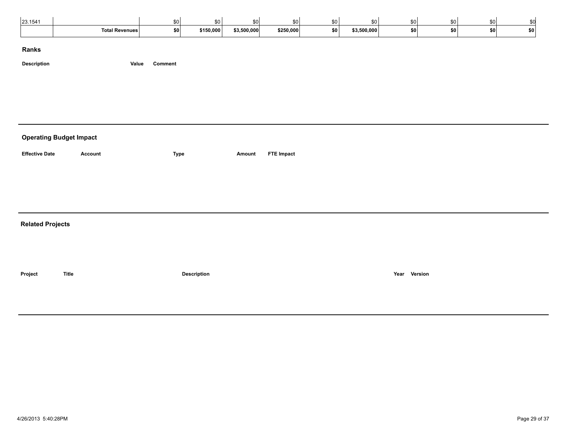| 123.154 |                       | \$O              |          | ווש         |           |           |             | SO I | \$0        |     |           |  |
|---------|-----------------------|------------------|----------|-------------|-----------|-----------|-------------|------|------------|-----|-----------|--|
|         | <b>Total Revenues</b> | <b>COL</b><br>wv | ነ150,000 | \$3,500,000 | \$250,000 | <b>SO</b> | \$3,500,000 | \$0  | <b>\$0</b> | . . | <b>SO</b> |  |

**Description Value Comment**

# **Operating Budget Impact**

Account **ETE Impact CONS EXECUTE:** Type **Amount FTE Impact** 

**Related Projects**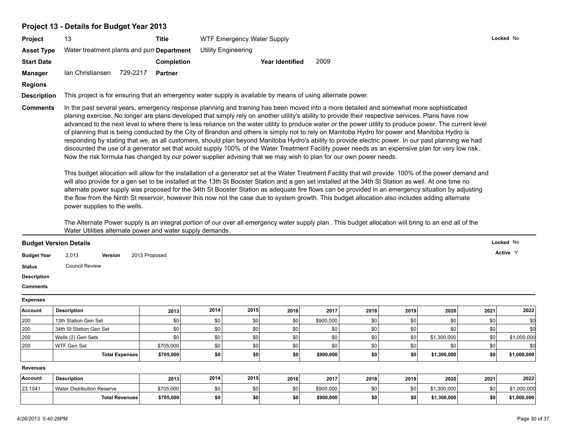# **Project 13 - Details for Budget Year 2013**

| Project            | 13                                                                                                                                                                                                                                                                                                                                                                                                                                                                                                                                                                                                                                                                                                                                                                                                                                                                                                                                                                                                                                                                                                                                                                                                                                                                                                                                                                                                                                                                                                                                                                                                                                                                       | <b>Title</b>      |      | <b>WTF Emergency Water Supply</b> |                        |           |      |      |             |      | Locked No   |
|--------------------|--------------------------------------------------------------------------------------------------------------------------------------------------------------------------------------------------------------------------------------------------------------------------------------------------------------------------------------------------------------------------------------------------------------------------------------------------------------------------------------------------------------------------------------------------------------------------------------------------------------------------------------------------------------------------------------------------------------------------------------------------------------------------------------------------------------------------------------------------------------------------------------------------------------------------------------------------------------------------------------------------------------------------------------------------------------------------------------------------------------------------------------------------------------------------------------------------------------------------------------------------------------------------------------------------------------------------------------------------------------------------------------------------------------------------------------------------------------------------------------------------------------------------------------------------------------------------------------------------------------------------------------------------------------------------|-------------------|------|-----------------------------------|------------------------|-----------|------|------|-------------|------|-------------|
| <b>Asset Type</b>  | Water treatment plants and pun Department                                                                                                                                                                                                                                                                                                                                                                                                                                                                                                                                                                                                                                                                                                                                                                                                                                                                                                                                                                                                                                                                                                                                                                                                                                                                                                                                                                                                                                                                                                                                                                                                                                |                   |      | <b>Utility Engineering</b>        |                        |           |      |      |             |      |             |
| <b>Start Date</b>  |                                                                                                                                                                                                                                                                                                                                                                                                                                                                                                                                                                                                                                                                                                                                                                                                                                                                                                                                                                                                                                                                                                                                                                                                                                                                                                                                                                                                                                                                                                                                                                                                                                                                          | <b>Completion</b> |      |                                   | <b>Year Identified</b> | 2009      |      |      |             |      |             |
| <b>Manager</b>     | lan Christiansen<br>729-2217                                                                                                                                                                                                                                                                                                                                                                                                                                                                                                                                                                                                                                                                                                                                                                                                                                                                                                                                                                                                                                                                                                                                                                                                                                                                                                                                                                                                                                                                                                                                                                                                                                             | <b>Partner</b>    |      |                                   |                        |           |      |      |             |      |             |
| <b>Regions</b>     |                                                                                                                                                                                                                                                                                                                                                                                                                                                                                                                                                                                                                                                                                                                                                                                                                                                                                                                                                                                                                                                                                                                                                                                                                                                                                                                                                                                                                                                                                                                                                                                                                                                                          |                   |      |                                   |                        |           |      |      |             |      |             |
| <b>Description</b> | This project is for ensuring that an emergency water supply is available by means of using alternate power.                                                                                                                                                                                                                                                                                                                                                                                                                                                                                                                                                                                                                                                                                                                                                                                                                                                                                                                                                                                                                                                                                                                                                                                                                                                                                                                                                                                                                                                                                                                                                              |                   |      |                                   |                        |           |      |      |             |      |             |
| <b>Comments</b>    | In the past several years, emergency response planning and training has been moved into a more detailed and somewhat more sophisticated<br>planing exercise. No longer are plans developed that simply rely on another utility's ability to provide their respective services. Plans have now<br>advanced to the next level to where there is less reliance on the water utility to produce water or the power utility to produce power. The current level<br>of planning that is being conducted by the City of Brandon and others is simply not to rely on Manitoba Hydro for power and Manitoba Hydro is<br>responding by stating that we, as all customers, should plan beyond Manitoba Hydro's ability to provide electric power. In our past planning we had<br>discounted the use of a generator set that would supply 100% of the Water Treatment Facility power needs as an expensive plan for very low risk.<br>Now the risk formula has changed by our power supplier advising that we may wish to plan for our own power needs.<br>This budget allocation will allow for the installation of a generator set at the Water Treatment Facility that will provide 100% of the power demand and<br>will also provide for a gen set to be installed at the 13th St Booster Station and a gen set installed at the 34th St Station as well. At one time no<br>alternate power supply was proposed for the 34th St Booster Station as adequate fire flows can be provided in an emergency situation by adjusting<br>the flow from the Ninth St reservoir, however this now not the case due to system growth. This budget allocation also includes adding alternate |                   |      |                                   |                        |           |      |      |             |      |             |
|                    | power supplies to the wells.<br>The Alternate Power supply is an integral portion of our over all emergency water supply plan. This budget allocation will bring to an end all of the                                                                                                                                                                                                                                                                                                                                                                                                                                                                                                                                                                                                                                                                                                                                                                                                                                                                                                                                                                                                                                                                                                                                                                                                                                                                                                                                                                                                                                                                                    |                   |      |                                   |                        |           |      |      |             |      |             |
|                    | Water Utilities alternate power and water supply demands.                                                                                                                                                                                                                                                                                                                                                                                                                                                                                                                                                                                                                                                                                                                                                                                                                                                                                                                                                                                                                                                                                                                                                                                                                                                                                                                                                                                                                                                                                                                                                                                                                |                   |      |                                   |                        |           |      |      |             |      |             |
|                    | <b>Budget Version Details</b>                                                                                                                                                                                                                                                                                                                                                                                                                                                                                                                                                                                                                                                                                                                                                                                                                                                                                                                                                                                                                                                                                                                                                                                                                                                                                                                                                                                                                                                                                                                                                                                                                                            |                   |      |                                   |                        |           |      |      |             |      | Locked No   |
| <b>Budget Year</b> | 2,013<br>Version                                                                                                                                                                                                                                                                                                                                                                                                                                                                                                                                                                                                                                                                                                                                                                                                                                                                                                                                                                                                                                                                                                                                                                                                                                                                                                                                                                                                                                                                                                                                                                                                                                                         | 2013 Proposed     |      |                                   |                        |           |      |      |             |      | Active Y    |
| <b>Status</b>      | <b>Council Review</b>                                                                                                                                                                                                                                                                                                                                                                                                                                                                                                                                                                                                                                                                                                                                                                                                                                                                                                                                                                                                                                                                                                                                                                                                                                                                                                                                                                                                                                                                                                                                                                                                                                                    |                   |      |                                   |                        |           |      |      |             |      |             |
| <b>Description</b> |                                                                                                                                                                                                                                                                                                                                                                                                                                                                                                                                                                                                                                                                                                                                                                                                                                                                                                                                                                                                                                                                                                                                                                                                                                                                                                                                                                                                                                                                                                                                                                                                                                                                          |                   |      |                                   |                        |           |      |      |             |      |             |
| <b>Comments</b>    |                                                                                                                                                                                                                                                                                                                                                                                                                                                                                                                                                                                                                                                                                                                                                                                                                                                                                                                                                                                                                                                                                                                                                                                                                                                                                                                                                                                                                                                                                                                                                                                                                                                                          |                   |      |                                   |                        |           |      |      |             |      |             |
| <b>Expenses</b>    |                                                                                                                                                                                                                                                                                                                                                                                                                                                                                                                                                                                                                                                                                                                                                                                                                                                                                                                                                                                                                                                                                                                                                                                                                                                                                                                                                                                                                                                                                                                                                                                                                                                                          |                   |      |                                   |                        |           |      |      |             |      |             |
| Account            | <b>Description</b>                                                                                                                                                                                                                                                                                                                                                                                                                                                                                                                                                                                                                                                                                                                                                                                                                                                                                                                                                                                                                                                                                                                                                                                                                                                                                                                                                                                                                                                                                                                                                                                                                                                       | 2013              | 2014 | 2015                              | 2016                   | 2017      | 2018 | 2019 | 2020        | 2021 | 2022        |
| 200                | 13th Station Gen Set                                                                                                                                                                                                                                                                                                                                                                                                                                                                                                                                                                                                                                                                                                                                                                                                                                                                                                                                                                                                                                                                                                                                                                                                                                                                                                                                                                                                                                                                                                                                                                                                                                                     | \$0               | \$0  | \$0                               | \$0                    | \$900,000 | \$0  | \$0  | \$0         | \$0  | \$0         |
| 200                | 34th St Station Gen Set                                                                                                                                                                                                                                                                                                                                                                                                                                                                                                                                                                                                                                                                                                                                                                                                                                                                                                                                                                                                                                                                                                                                                                                                                                                                                                                                                                                                                                                                                                                                                                                                                                                  | \$0               | \$0  | \$0                               | \$0                    | \$0       | \$0  | \$0  | \$0         | \$0  | \$d         |
| 200                | Wells (2) Gen Sets                                                                                                                                                                                                                                                                                                                                                                                                                                                                                                                                                                                                                                                                                                                                                                                                                                                                                                                                                                                                                                                                                                                                                                                                                                                                                                                                                                                                                                                                                                                                                                                                                                                       | \$0               | \$0  | \$0                               | \$0                    | \$0       | \$0  | \$0  | \$1,300,000 | \$0  | \$1,000,000 |
| 200                | <b>WTF Gen Set</b>                                                                                                                                                                                                                                                                                                                                                                                                                                                                                                                                                                                                                                                                                                                                                                                                                                                                                                                                                                                                                                                                                                                                                                                                                                                                                                                                                                                                                                                                                                                                                                                                                                                       | \$705,000         | \$0  | \$0                               | \$0                    | \$0       | \$0  | \$0  | \$0         | \$0  | \$0         |
|                    | <b>Total Expenses</b>                                                                                                                                                                                                                                                                                                                                                                                                                                                                                                                                                                                                                                                                                                                                                                                                                                                                                                                                                                                                                                                                                                                                                                                                                                                                                                                                                                                                                                                                                                                                                                                                                                                    | \$705,000         | \$0  | \$0                               | \$0                    | \$900,000 | \$0  | \$0  | \$1,300,000 | \$0  | \$1,000,000 |
| <b>Revenues</b>    |                                                                                                                                                                                                                                                                                                                                                                                                                                                                                                                                                                                                                                                                                                                                                                                                                                                                                                                                                                                                                                                                                                                                                                                                                                                                                                                                                                                                                                                                                                                                                                                                                                                                          |                   |      |                                   |                        |           |      |      |             |      |             |
| Account            | <b>Description</b>                                                                                                                                                                                                                                                                                                                                                                                                                                                                                                                                                                                                                                                                                                                                                                                                                                                                                                                                                                                                                                                                                                                                                                                                                                                                                                                                                                                                                                                                                                                                                                                                                                                       | 2013              | 2014 | 2015                              | 2016                   | 2017      | 2018 | 2019 | 2020        | 2021 | 2022        |
| 23.1541            | <b>Water Distribution Reserve</b>                                                                                                                                                                                                                                                                                                                                                                                                                                                                                                                                                                                                                                                                                                                                                                                                                                                                                                                                                                                                                                                                                                                                                                                                                                                                                                                                                                                                                                                                                                                                                                                                                                        | \$705,000         | \$0  | \$0                               | \$0                    | \$900,000 | \$0  | \$0  | \$1,300,000 | \$0  | \$1,000,000 |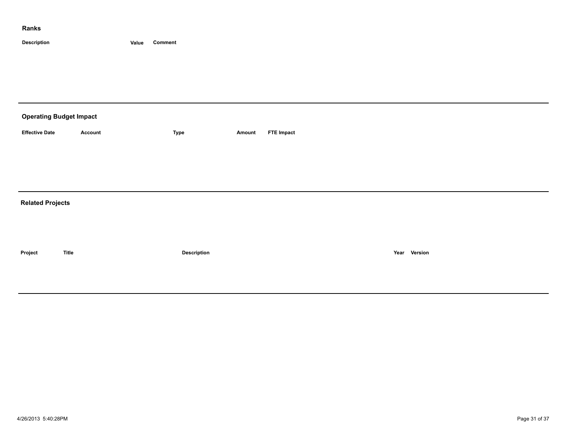| <b>Operating Budget Impact</b> |         |                    |        |                   |      |         |
|--------------------------------|---------|--------------------|--------|-------------------|------|---------|
| <b>Effective Date</b>          | Account | <b>Type</b>        | Amount | <b>FTE Impact</b> |      |         |
|                                |         |                    |        |                   |      |         |
|                                |         |                    |        |                   |      |         |
| <b>Related Projects</b>        |         |                    |        |                   |      |         |
|                                |         |                    |        |                   |      |         |
| Project                        | Title   | <b>Description</b> |        |                   | Year | Version |
|                                |         |                    |        |                   |      |         |
|                                |         |                    |        |                   |      |         |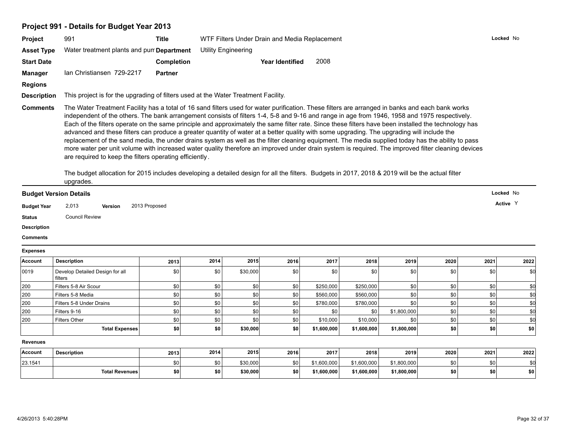# **Project 991 - Details for Budget Year 2013**

| <b>Project</b>     | 991                                                                                | Title          | WTF Filters Under Drain and Media Replacement                                                                                                                                                                                                                                                                                                                                                                                                                                                                                                                                                                                                                                                                                                                                                                                                                                                                      | Locked No |
|--------------------|------------------------------------------------------------------------------------|----------------|--------------------------------------------------------------------------------------------------------------------------------------------------------------------------------------------------------------------------------------------------------------------------------------------------------------------------------------------------------------------------------------------------------------------------------------------------------------------------------------------------------------------------------------------------------------------------------------------------------------------------------------------------------------------------------------------------------------------------------------------------------------------------------------------------------------------------------------------------------------------------------------------------------------------|-----------|
| <b>Asset Type</b>  | Water treatment plants and pun Department                                          |                | <b>Utility Engineering</b>                                                                                                                                                                                                                                                                                                                                                                                                                                                                                                                                                                                                                                                                                                                                                                                                                                                                                         |           |
| <b>Start Date</b>  |                                                                                    | Completion     | 2008<br>Year Identified                                                                                                                                                                                                                                                                                                                                                                                                                                                                                                                                                                                                                                                                                                                                                                                                                                                                                            |           |
| <b>Manager</b>     | Ian Christiansen 729-2217                                                          | <b>Partner</b> |                                                                                                                                                                                                                                                                                                                                                                                                                                                                                                                                                                                                                                                                                                                                                                                                                                                                                                                    |           |
| <b>Regions</b>     |                                                                                    |                |                                                                                                                                                                                                                                                                                                                                                                                                                                                                                                                                                                                                                                                                                                                                                                                                                                                                                                                    |           |
| <b>Description</b> | This project is for the upgrading of filters used at the Water Treatment Facility. |                |                                                                                                                                                                                                                                                                                                                                                                                                                                                                                                                                                                                                                                                                                                                                                                                                                                                                                                                    |           |
| <b>Comments</b>    | are required to keep the filters operating efficiently.                            |                | The Water Treatment Facility has a total of 16 sand filters used for water purification. These filters are arranged in banks and each bank works<br>independent of the others. The bank arrangement consists of filters 1-4, 5-8 and 9-16 and range in age from 1946, 1958 and 1975 respectively.<br>Each of the filters operate on the same principle and approximately the same filter rate. Since these filters have been installed the technology has<br>advanced and these filters can produce a greater quantity of water at a better quality with some upgrading. The upgrading will include the<br>replacement of the sand media, the under drains system as well as the filter cleaning equipment. The media supplied today has the ability to pass<br>more water per unit volume with increased water quality therefore an improved under drain system is required. The improved filter cleaning devices |           |

The budget allocation for 2015 includes developing a detailed design for all the filters. Budgets in 2017, 2018 & 2019 will be the actual filter upgrades.

| <b>Budget Version Details</b> |                       |         |               | Locked No                               |
|-------------------------------|-----------------------|---------|---------------|-----------------------------------------|
| <b>Budget Year</b>            | 2,013                 | Version | 2013 Proposed | Active Y<br>$\sim$ $\sim$ $\sim$ $\sim$ |
| <b>Status</b>                 | <b>Council Review</b> |         |               |                                         |

**Description**

**Comments**

**Expenses**

| .       |                                            |            |      |          |      |                  |             |             |      |      |           |
|---------|--------------------------------------------|------------|------|----------|------|------------------|-------------|-------------|------|------|-----------|
| Account | <b>Description</b>                         | 2013       | 2014 | 2015     | 2016 | 2017             | 2018        | 2019        | 2020 | 2021 | 2022      |
| 0019    | Develop Detailed Design for all<br>filters | \$0        | \$0  | \$30,000 | \$0  | \$0              | \$0         | \$0 l       | \$0  | \$0  | \$0       |
| 200     | Filters 5-8 Air Scour                      | \$0        |      |          | \$0  | \$250,000        | \$250,000   | \$0         | \$0  |      |           |
| 200     | Filters 5-8 Media                          | \$0        | \$0  |          | \$0  | \$560,000        | \$560,000   | \$0 l       | \$0  | \$0  |           |
| 200     | Filters 5-8 Under Drains                   | \$0        |      |          |      | \$780,000        | \$780,000   | ደሀ          | ደበ   | \$0  |           |
| 200     | Filters 9-16                               | \$0        |      |          | \$0  | \$0 <sub>1</sub> | \$0         | \$1,800,000 | \$0  | \$0  |           |
| 200     | <b>Filters Other</b>                       | \$0        |      |          |      | \$10,000         | \$10,000    |             | \$0  | \$0  |           |
|         | <b>Total Expenses</b>                      | <b>\$0</b> | \$0  | \$30,000 | \$0  | \$1,600,000      | \$1,600,000 | \$1,800,000 | \$0  | \$0  | <b>SO</b> |

**Revenues**

| Account | <b>Description</b>    | 2013 | 2014             | 2015     | 2016             | 2017        | 2018        | 2019        | 2020 | 2021      | 2022 |
|---------|-----------------------|------|------------------|----------|------------------|-------------|-------------|-------------|------|-----------|------|
| 23.1541 |                       | ደሀ   | \$0 <sub>1</sub> | \$30,000 | \$0 <sub>1</sub> | 1.600.000   | \$1,600,000 | \$1,800,000 | SO 1 |           |      |
|         | <b>Total Revenues</b> | \$0  |                  | \$30,000 | \$0              | \$1,600,000 | \$1,600,000 | \$1,800,000 | \$0  | . .<br>wu | SO I |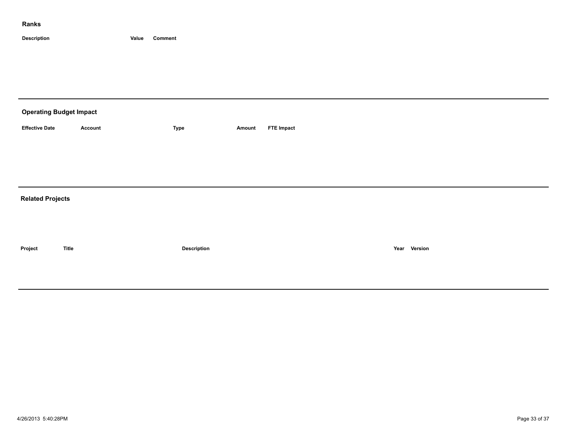| <b>Operating Budget Impact</b> |              |                    |        |                   |              |  |  |  |  |  |
|--------------------------------|--------------|--------------------|--------|-------------------|--------------|--|--|--|--|--|
| <b>Effective Date</b>          | Account      | Type               | Amount | <b>FTE Impact</b> |              |  |  |  |  |  |
|                                |              |                    |        |                   |              |  |  |  |  |  |
|                                |              |                    |        |                   |              |  |  |  |  |  |
|                                |              |                    |        |                   |              |  |  |  |  |  |
| <b>Related Projects</b>        |              |                    |        |                   |              |  |  |  |  |  |
|                                |              |                    |        |                   |              |  |  |  |  |  |
|                                |              |                    |        |                   |              |  |  |  |  |  |
| Project                        | <b>Title</b> | <b>Description</b> |        |                   | Year Version |  |  |  |  |  |
|                                |              |                    |        |                   |              |  |  |  |  |  |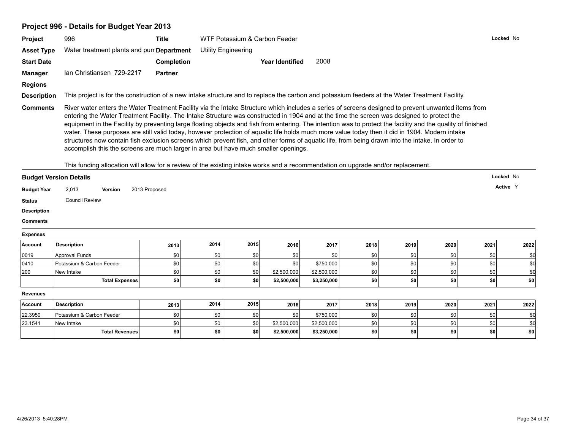# **Project 996 - Details for Budget Year 2013**

| <b>Project</b>                                                                     | 996                                                                                                                                                                                                                                                                                                                                                                                                                                                                                                                                                                                                                                                                                                                                                                                                                                                                               | <b>Title</b>      |            | Locked No<br>WTF Potassium & Carbon Feeder |                            |                            |            |            |                         |            |            |  |
|------------------------------------------------------------------------------------|-----------------------------------------------------------------------------------------------------------------------------------------------------------------------------------------------------------------------------------------------------------------------------------------------------------------------------------------------------------------------------------------------------------------------------------------------------------------------------------------------------------------------------------------------------------------------------------------------------------------------------------------------------------------------------------------------------------------------------------------------------------------------------------------------------------------------------------------------------------------------------------|-------------------|------------|--------------------------------------------|----------------------------|----------------------------|------------|------------|-------------------------|------------|------------|--|
| <b>Asset Type</b>                                                                  | Water treatment plants and pur Department                                                                                                                                                                                                                                                                                                                                                                                                                                                                                                                                                                                                                                                                                                                                                                                                                                         |                   |            | <b>Utility Engineering</b>                 |                            |                            |            |            |                         |            |            |  |
| <b>Start Date</b>                                                                  |                                                                                                                                                                                                                                                                                                                                                                                                                                                                                                                                                                                                                                                                                                                                                                                                                                                                                   | <b>Completion</b> |            |                                            | <b>Year Identified</b>     | 2008                       |            |            |                         |            |            |  |
| <b>Manager</b>                                                                     | Ian Christiansen 729-2217                                                                                                                                                                                                                                                                                                                                                                                                                                                                                                                                                                                                                                                                                                                                                                                                                                                         | <b>Partner</b>    |            |                                            |                            |                            |            |            |                         |            |            |  |
| <b>Regions</b>                                                                     |                                                                                                                                                                                                                                                                                                                                                                                                                                                                                                                                                                                                                                                                                                                                                                                                                                                                                   |                   |            |                                            |                            |                            |            |            |                         |            |            |  |
|                                                                                    |                                                                                                                                                                                                                                                                                                                                                                                                                                                                                                                                                                                                                                                                                                                                                                                                                                                                                   |                   |            |                                            |                            |                            |            |            |                         |            |            |  |
| <b>Description</b>                                                                 | This project is for the construction of a new intake structure and to replace the carbon and potassium feeders at the Water Treatment Facility.                                                                                                                                                                                                                                                                                                                                                                                                                                                                                                                                                                                                                                                                                                                                   |                   |            |                                            |                            |                            |            |            |                         |            |            |  |
|                                                                                    | River water enters the Water Treatment Facility via the Intake Structure which includes a series of screens designed to prevent unwanted items from<br><b>Comments</b><br>entering the Water Treatment Facility. The Intake Structure was constructed in 1904 and at the time the screen was designed to protect the<br>equipment in the Facility by preventing large floating objects and fish from entering. The intention was to protect the facility and the quality of finished<br>water. These purposes are still valid today, however protection of aquatic life holds much more value today then it did in 1904. Modern intake<br>structures now contain fish exclusion screens which prevent fish, and other forms of aquatic life, from being drawn into the intake. In order to<br>accomplish this the screens are much larger in area but have much smaller openings. |                   |            |                                            |                            |                            |            |            |                         |            |            |  |
|                                                                                    | This funding allocation will allow for a review of the existing intake works and a recommendation on upgrade and/or replacement.                                                                                                                                                                                                                                                                                                                                                                                                                                                                                                                                                                                                                                                                                                                                                  |                   |            |                                            |                            |                            |            |            |                         |            |            |  |
| <b>Budget Version Details</b>                                                      |                                                                                                                                                                                                                                                                                                                                                                                                                                                                                                                                                                                                                                                                                                                                                                                                                                                                                   |                   |            |                                            |                            |                            |            |            |                         |            | Locked No  |  |
| <b>Budget Year</b>                                                                 | 2,013<br><b>Version</b>                                                                                                                                                                                                                                                                                                                                                                                                                                                                                                                                                                                                                                                                                                                                                                                                                                                           | 2013 Proposed     |            |                                            |                            |                            |            |            |                         |            | Active Y   |  |
| <b>Status</b>                                                                      | <b>Council Review</b>                                                                                                                                                                                                                                                                                                                                                                                                                                                                                                                                                                                                                                                                                                                                                                                                                                                             |                   |            |                                            |                            |                            |            |            |                         |            |            |  |
| <b>Description</b>                                                                 |                                                                                                                                                                                                                                                                                                                                                                                                                                                                                                                                                                                                                                                                                                                                                                                                                                                                                   |                   |            |                                            |                            |                            |            |            |                         |            |            |  |
|                                                                                    |                                                                                                                                                                                                                                                                                                                                                                                                                                                                                                                                                                                                                                                                                                                                                                                                                                                                                   |                   |            |                                            |                            |                            |            |            |                         |            |            |  |
|                                                                                    |                                                                                                                                                                                                                                                                                                                                                                                                                                                                                                                                                                                                                                                                                                                                                                                                                                                                                   |                   |            |                                            |                            |                            |            |            |                         |            |            |  |
|                                                                                    |                                                                                                                                                                                                                                                                                                                                                                                                                                                                                                                                                                                                                                                                                                                                                                                                                                                                                   |                   |            |                                            |                            |                            |            |            |                         |            |            |  |
| <b>Comments</b><br><b>Expenses</b>                                                 |                                                                                                                                                                                                                                                                                                                                                                                                                                                                                                                                                                                                                                                                                                                                                                                                                                                                                   |                   |            |                                            |                            |                            |            |            |                         |            |            |  |
|                                                                                    | <b>Description</b>                                                                                                                                                                                                                                                                                                                                                                                                                                                                                                                                                                                                                                                                                                                                                                                                                                                                | 2013              | 2014       | 2015                                       | 2016                       | 2017                       | 2018       | 2019       | 2020                    | 2021       | 2022       |  |
|                                                                                    | Approval Funds                                                                                                                                                                                                                                                                                                                                                                                                                                                                                                                                                                                                                                                                                                                                                                                                                                                                    | \$0               | \$0        | \$0                                        | \$0                        | \$0                        | \$0        | \$0        | \$0                     | \$0        | \$0        |  |
|                                                                                    | Potassium & Carbon Feeder                                                                                                                                                                                                                                                                                                                                                                                                                                                                                                                                                                                                                                                                                                                                                                                                                                                         | \$0               | \$0        | \$0                                        | \$0                        | \$750,000                  | \$0        | \$0        | \$0                     | \$0        | \$0        |  |
|                                                                                    | New Intake<br><b>Total Expenses</b>                                                                                                                                                                                                                                                                                                                                                                                                                                                                                                                                                                                                                                                                                                                                                                                                                                               | \$0<br>\$0        | \$0<br>\$0 | \$0<br>\$0                                 | \$2,500,000<br>\$2,500,000 | \$2,500,000<br>\$3,250,000 | \$0<br>\$0 | \$0<br>\$0 | \$0<br>\$0              | \$0<br>\$0 | \$0<br>\$0 |  |
|                                                                                    |                                                                                                                                                                                                                                                                                                                                                                                                                                                                                                                                                                                                                                                                                                                                                                                                                                                                                   |                   |            |                                            |                            |                            |            |            |                         |            |            |  |
|                                                                                    |                                                                                                                                                                                                                                                                                                                                                                                                                                                                                                                                                                                                                                                                                                                                                                                                                                                                                   |                   |            |                                            |                            |                            |            |            |                         |            |            |  |
|                                                                                    | <b>Description</b>                                                                                                                                                                                                                                                                                                                                                                                                                                                                                                                                                                                                                                                                                                                                                                                                                                                                | 2013              | 2014       | 2015                                       | 2016                       | 2017                       | 2018       | 2019       | 2020                    | 2021       | 2022       |  |
|                                                                                    | Potassium & Carbon Feeder                                                                                                                                                                                                                                                                                                                                                                                                                                                                                                                                                                                                                                                                                                                                                                                                                                                         | \$0               | \$0        | \$0                                        | \$0                        | \$750,000                  | \$0        | \$0        | \$0                     | \$0        | \$0        |  |
| Account<br>0019<br>0410<br>200<br><b>Revenues</b><br>Account<br>22.3950<br>23.1541 | New Intake<br><b>Total Revenues</b>                                                                                                                                                                                                                                                                                                                                                                                                                                                                                                                                                                                                                                                                                                                                                                                                                                               | \$0<br>\$0        | \$0<br>\$0 | \$0<br>\$0                                 | \$2,500,000<br>\$2,500,000 | \$2,500,000<br>\$3,250,000 | \$0<br>\$0 | \$0<br>\$0 | \$0<br>$s$ <sub>0</sub> | \$0<br>\$0 | \$0<br>\$0 |  |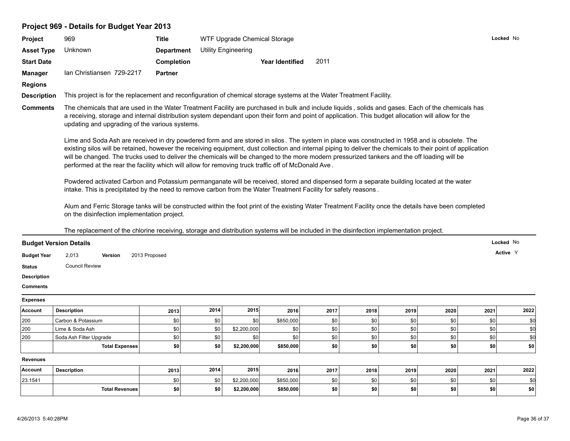| Project 969 - Details for Budget Year 2013 |  |
|--------------------------------------------|--|
|--------------------------------------------|--|

| <b>Asset Type</b>             | 969                                                                                                                                                                                                                                                                                                                                                                                                                                                                                                                                                                  | <b>Title</b>      |      | WTF Upgrade Chemical Storage |                        |      |      |      |      | Locked No |      |  |
|-------------------------------|----------------------------------------------------------------------------------------------------------------------------------------------------------------------------------------------------------------------------------------------------------------------------------------------------------------------------------------------------------------------------------------------------------------------------------------------------------------------------------------------------------------------------------------------------------------------|-------------------|------|------------------------------|------------------------|------|------|------|------|-----------|------|--|
|                               | Unknown                                                                                                                                                                                                                                                                                                                                                                                                                                                                                                                                                              | <b>Department</b> |      | <b>Utility Engineering</b>   |                        |      |      |      |      |           |      |  |
| <b>Start Date</b>             |                                                                                                                                                                                                                                                                                                                                                                                                                                                                                                                                                                      | <b>Completion</b> |      |                              | <b>Year Identified</b> | 2011 |      |      |      |           |      |  |
| <b>Manager</b>                | Ian Christiansen 729-2217                                                                                                                                                                                                                                                                                                                                                                                                                                                                                                                                            | <b>Partner</b>    |      |                              |                        |      |      |      |      |           |      |  |
| <b>Regions</b>                |                                                                                                                                                                                                                                                                                                                                                                                                                                                                                                                                                                      |                   |      |                              |                        |      |      |      |      |           |      |  |
| <b>Description</b>            |                                                                                                                                                                                                                                                                                                                                                                                                                                                                                                                                                                      |                   |      |                              |                        |      |      |      |      |           |      |  |
| <b>Comments</b>               | This project is for the replacement and reconfiguration of chemical storage systems at the Water Treatment Facility.<br>The chemicals that are used in the Water Treatment Facility are purchased in bulk and include liquids, solids and gases. Each of the chemicals has<br>a receiving, storage and internal distribution system dependant upon their form and point of application. This budget allocation will allow for the<br>updating and upgrading of the various systems.                                                                                  |                   |      |                              |                        |      |      |      |      |           |      |  |
|                               | Lime and Soda Ash are received in dry powdered form and are stored in silos. The system in place was constructed in 1958 and is obsolete. The<br>existing silos will be retained, however the receiving equipment, dust collection and internal piping to deliver the chemicals to their point of application<br>will be changed. The trucks used to deliver the chemicals will be changed to the more modern pressurized tankers and the off loading will be<br>performed at the rear the facility which will allow for removing truck traffic off of McDonald Ave. |                   |      |                              |                        |      |      |      |      |           |      |  |
|                               | Powdered activated Carbon and Potassium permanganate will be received, stored and dispensed form a separate building located at the water<br>intake. This is precipitated by the need to remove carbon from the Water Treatment Facility for safety reasons.                                                                                                                                                                                                                                                                                                         |                   |      |                              |                        |      |      |      |      |           |      |  |
|                               | Alum and Ferric Storage tanks will be constructed within the foot print of the existing Water Treatment Facility once the details have been completed<br>on the disinfection implementation project.<br>The replacement of the chlorine receiving, storage and distribution systems will be included in the disinfection implementation project.                                                                                                                                                                                                                     |                   |      |                              |                        |      |      |      |      |           |      |  |
|                               |                                                                                                                                                                                                                                                                                                                                                                                                                                                                                                                                                                      |                   |      |                              |                        |      |      |      |      |           |      |  |
| <b>Budget Version Details</b> |                                                                                                                                                                                                                                                                                                                                                                                                                                                                                                                                                                      |                   |      |                              |                        |      |      |      |      | Locked No |      |  |
| <b>Budget Year</b>            | 2,013<br>Version                                                                                                                                                                                                                                                                                                                                                                                                                                                                                                                                                     | 2013 Proposed     |      |                              |                        |      |      |      |      | Active Y  |      |  |
| <b>Status</b>                 | <b>Council Review</b>                                                                                                                                                                                                                                                                                                                                                                                                                                                                                                                                                |                   |      |                              |                        |      |      |      |      |           |      |  |
| <b>Description</b>            |                                                                                                                                                                                                                                                                                                                                                                                                                                                                                                                                                                      |                   |      |                              |                        |      |      |      |      |           |      |  |
| <b>Comments</b>               |                                                                                                                                                                                                                                                                                                                                                                                                                                                                                                                                                                      |                   |      |                              |                        |      |      |      |      |           |      |  |
| <b>Expenses</b>               |                                                                                                                                                                                                                                                                                                                                                                                                                                                                                                                                                                      |                   |      |                              |                        |      |      |      |      |           |      |  |
| Account                       | <b>Description</b>                                                                                                                                                                                                                                                                                                                                                                                                                                                                                                                                                   | 2013              | 2014 | 2015                         | 2016                   | 2017 | 2018 | 2019 | 2020 | 2021      | 2022 |  |
| 200                           | Carbon & Potassium                                                                                                                                                                                                                                                                                                                                                                                                                                                                                                                                                   | \$0               | \$0  | \$0                          | \$850,000              | \$0  | \$0  | \$0  | \$0  | \$0       | \$0  |  |
| 200                           | Lime & Soda Ash                                                                                                                                                                                                                                                                                                                                                                                                                                                                                                                                                      | \$0               | \$0  | \$2,200,000                  | \$0                    | \$0  | \$0  | \$0  | \$0  | \$0       | \$0  |  |
| 200                           | Soda Ash Filter Upgrade                                                                                                                                                                                                                                                                                                                                                                                                                                                                                                                                              | \$0               | \$0  | \$0                          | \$0                    | \$0  | \$0  | \$0  | \$0  | \$0       | \$d  |  |
|                               | <b>Total Expenses</b>                                                                                                                                                                                                                                                                                                                                                                                                                                                                                                                                                | \$0               | \$0  | \$2,200,000                  | \$850,000              | \$0  | \$0  | \$0  | \$0  | \$0       | \$0  |  |
| <b>Revenues</b>               |                                                                                                                                                                                                                                                                                                                                                                                                                                                                                                                                                                      |                   |      |                              |                        |      |      |      |      |           |      |  |
| Account                       | <b>Description</b>                                                                                                                                                                                                                                                                                                                                                                                                                                                                                                                                                   | 2013              | 2014 | 2015                         | 2016                   | 2017 | 2018 | 2019 | 2020 | 2021      | 2022 |  |
| 23.1541                       |                                                                                                                                                                                                                                                                                                                                                                                                                                                                                                                                                                      | \$0               | \$0  | \$2,200,000                  | \$850,000              | \$0  | \$0  | \$0  | \$0  | \$0       | \$0  |  |